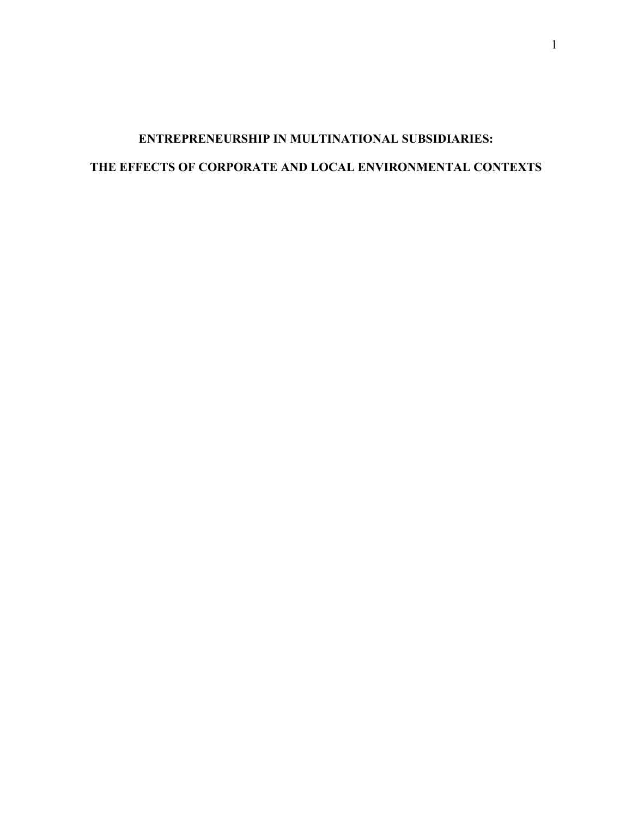# **ENTREPRENEURSHIP IN MULTINATIONAL SUBSIDIARIES: THE EFFECTS OF CORPORATE AND LOCAL ENVIRONMENTAL CONTEXTS**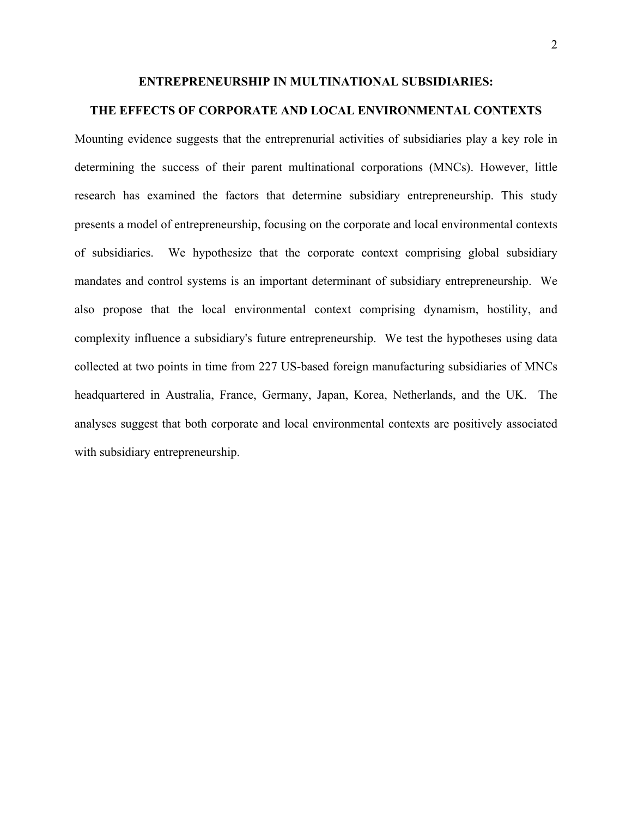#### **ENTREPRENEURSHIP IN MULTINATIONAL SUBSIDIARIES:**

# **THE EFFECTS OF CORPORATE AND LOCAL ENVIRONMENTAL CONTEXTS**

Mounting evidence suggests that the entreprenurial activities of subsidiaries play a key role in determining the success of their parent multinational corporations (MNCs). However, little research has examined the factors that determine subsidiary entrepreneurship. This study presents a model of entrepreneurship, focusing on the corporate and local environmental contexts of subsidiaries. We hypothesize that the corporate context comprising global subsidiary mandates and control systems is an important determinant of subsidiary entrepreneurship. We also propose that the local environmental context comprising dynamism, hostility, and complexity influence a subsidiary's future entrepreneurship. We test the hypotheses using data collected at two points in time from 227 US-based foreign manufacturing subsidiaries of MNCs headquartered in Australia, France, Germany, Japan, Korea, Netherlands, and the UK. The analyses suggest that both corporate and local environmental contexts are positively associated with subsidiary entrepreneurship.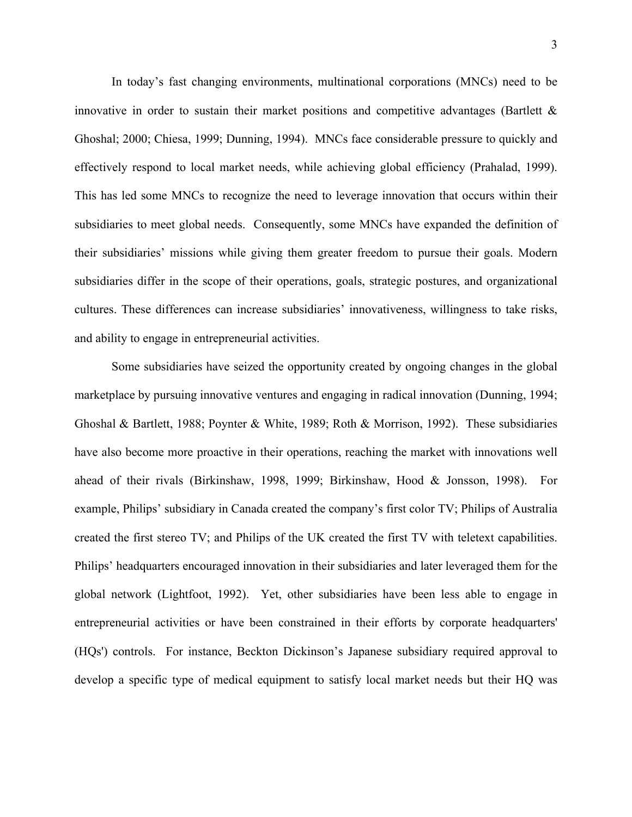In today's fast changing environments, multinational corporations (MNCs) need to be innovative in order to sustain their market positions and competitive advantages (Bartlett  $\&$ Ghoshal; 2000; Chiesa, 1999; Dunning, 1994). MNCs face considerable pressure to quickly and effectively respond to local market needs, while achieving global efficiency (Prahalad, 1999). This has led some MNCs to recognize the need to leverage innovation that occurs within their subsidiaries to meet global needs. Consequently, some MNCs have expanded the definition of their subsidiaries' missions while giving them greater freedom to pursue their goals. Modern subsidiaries differ in the scope of their operations, goals, strategic postures, and organizational cultures. These differences can increase subsidiaries' innovativeness, willingness to take risks, and ability to engage in entrepreneurial activities.

Some subsidiaries have seized the opportunity created by ongoing changes in the global marketplace by pursuing innovative ventures and engaging in radical innovation (Dunning, 1994; Ghoshal & Bartlett, 1988; Poynter & White, 1989; Roth & Morrison, 1992). These subsidiaries have also become more proactive in their operations, reaching the market with innovations well ahead of their rivals (Birkinshaw, 1998, 1999; Birkinshaw, Hood & Jonsson, 1998). For example, Philips' subsidiary in Canada created the company's first color TV; Philips of Australia created the first stereo TV; and Philips of the UK created the first TV with teletext capabilities. Philips' headquarters encouraged innovation in their subsidiaries and later leveraged them for the global network (Lightfoot, 1992). Yet, other subsidiaries have been less able to engage in entrepreneurial activities or have been constrained in their efforts by corporate headquarters' (HQs') controls. For instance, Beckton Dickinson's Japanese subsidiary required approval to develop a specific type of medical equipment to satisfy local market needs but their HQ was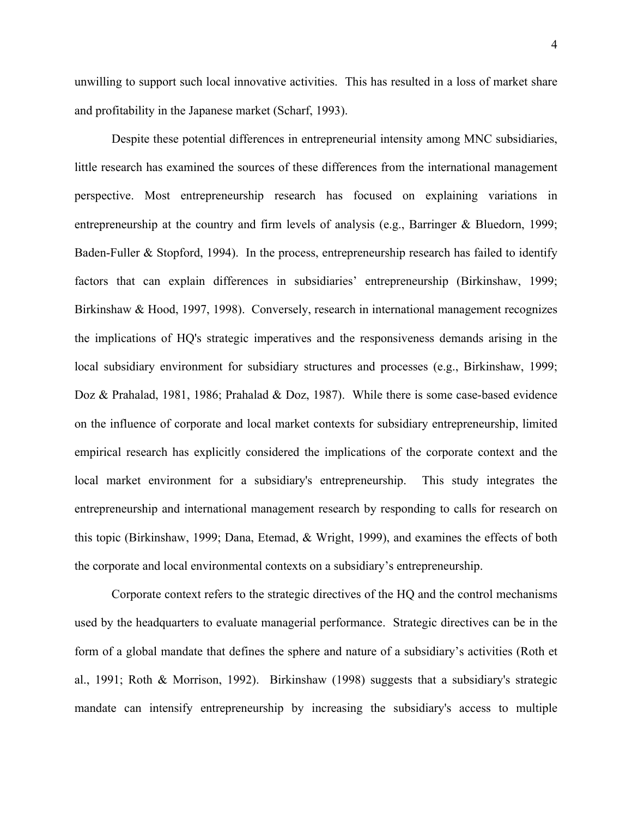unwilling to support such local innovative activities. This has resulted in a loss of market share and profitability in the Japanese market (Scharf, 1993).

Despite these potential differences in entrepreneurial intensity among MNC subsidiaries, little research has examined the sources of these differences from the international management perspective. Most entrepreneurship research has focused on explaining variations in entrepreneurship at the country and firm levels of analysis (e.g., Barringer & Bluedorn, 1999; Baden-Fuller & Stopford, 1994). In the process, entrepreneurship research has failed to identify factors that can explain differences in subsidiaries' entrepreneurship (Birkinshaw, 1999; Birkinshaw & Hood, 1997, 1998). Conversely, research in international management recognizes the implications of HQ's strategic imperatives and the responsiveness demands arising in the local subsidiary environment for subsidiary structures and processes (e.g., Birkinshaw, 1999; Doz & Prahalad, 1981, 1986; Prahalad & Doz, 1987). While there is some case-based evidence on the influence of corporate and local market contexts for subsidiary entrepreneurship, limited empirical research has explicitly considered the implications of the corporate context and the local market environment for a subsidiary's entrepreneurship. This study integrates the entrepreneurship and international management research by responding to calls for research on this topic (Birkinshaw, 1999; Dana, Etemad, & Wright, 1999), and examines the effects of both the corporate and local environmental contexts on a subsidiary's entrepreneurship.

Corporate context refers to the strategic directives of the HQ and the control mechanisms used by the headquarters to evaluate managerial performance. Strategic directives can be in the form of a global mandate that defines the sphere and nature of a subsidiary's activities (Roth et al., 1991; Roth & Morrison, 1992). Birkinshaw (1998) suggests that a subsidiary's strategic mandate can intensify entrepreneurship by increasing the subsidiary's access to multiple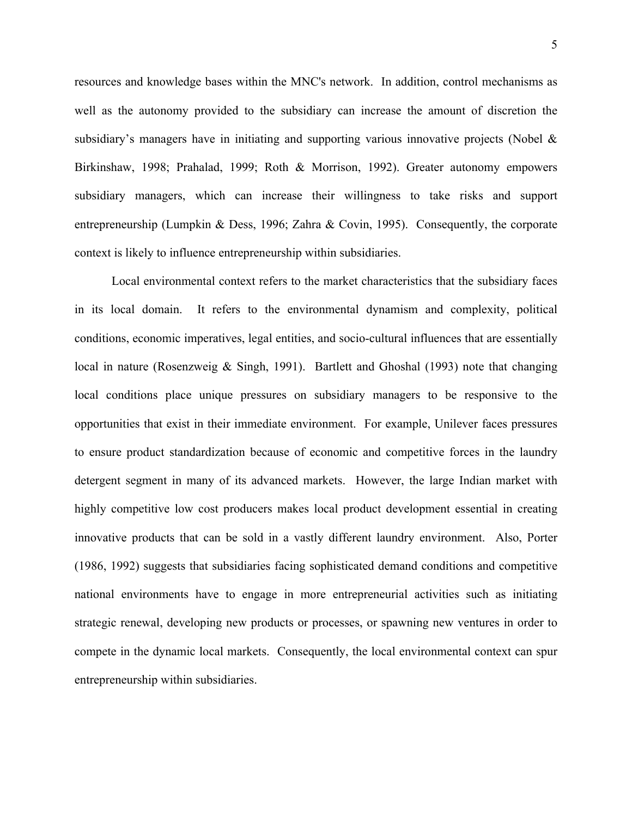resources and knowledge bases within the MNC's network. In addition, control mechanisms as well as the autonomy provided to the subsidiary can increase the amount of discretion the subsidiary's managers have in initiating and supporting various innovative projects (Nobel & Birkinshaw, 1998; Prahalad, 1999; Roth & Morrison, 1992). Greater autonomy empowers subsidiary managers, which can increase their willingness to take risks and support entrepreneurship (Lumpkin & Dess, 1996; Zahra & Covin, 1995). Consequently, the corporate context is likely to influence entrepreneurship within subsidiaries.

Local environmental context refers to the market characteristics that the subsidiary faces in its local domain. It refers to the environmental dynamism and complexity, political conditions, economic imperatives, legal entities, and socio-cultural influences that are essentially local in nature (Rosenzweig & Singh, 1991). Bartlett and Ghoshal (1993) note that changing local conditions place unique pressures on subsidiary managers to be responsive to the opportunities that exist in their immediate environment. For example, Unilever faces pressures to ensure product standardization because of economic and competitive forces in the laundry detergent segment in many of its advanced markets. However, the large Indian market with highly competitive low cost producers makes local product development essential in creating innovative products that can be sold in a vastly different laundry environment. Also, Porter (1986, 1992) suggests that subsidiaries facing sophisticated demand conditions and competitive national environments have to engage in more entrepreneurial activities such as initiating strategic renewal, developing new products or processes, or spawning new ventures in order to compete in the dynamic local markets. Consequently, the local environmental context can spur entrepreneurship within subsidiaries.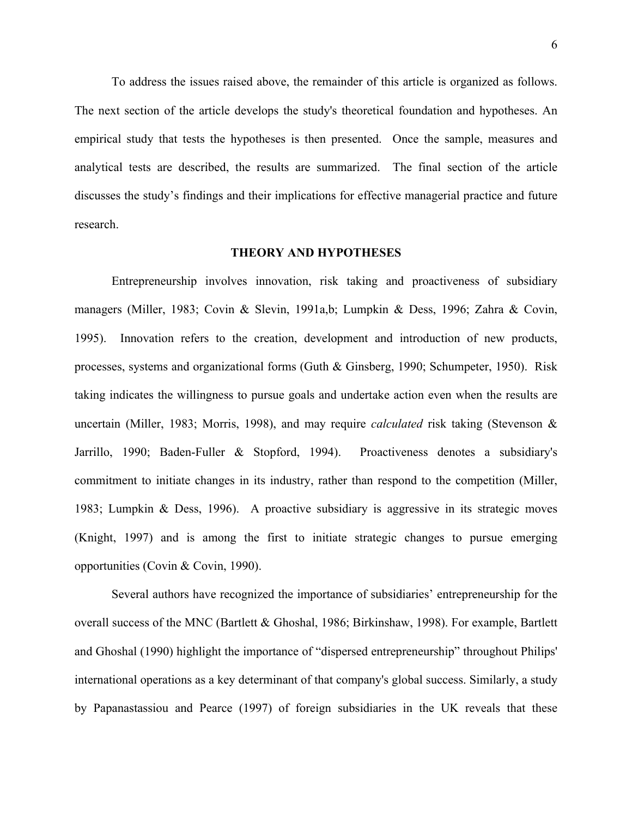To address the issues raised above, the remainder of this article is organized as follows. The next section of the article develops the study's theoretical foundation and hypotheses. An empirical study that tests the hypotheses is then presented. Once the sample, measures and analytical tests are described, the results are summarized. The final section of the article discusses the study's findings and their implications for effective managerial practice and future research.

### **THEORY AND HYPOTHESES**

Entrepreneurship involves innovation, risk taking and proactiveness of subsidiary managers (Miller, 1983; Covin & Slevin, 1991a,b; Lumpkin & Dess, 1996; Zahra & Covin, 1995). Innovation refers to the creation, development and introduction of new products, processes, systems and organizational forms (Guth & Ginsberg, 1990; Schumpeter, 1950). Risk taking indicates the willingness to pursue goals and undertake action even when the results are uncertain (Miller, 1983; Morris, 1998), and may require *calculated* risk taking (Stevenson & Jarrillo, 1990; Baden-Fuller & Stopford, 1994). Proactiveness denotes a subsidiary's commitment to initiate changes in its industry, rather than respond to the competition (Miller, 1983; Lumpkin & Dess, 1996). A proactive subsidiary is aggressive in its strategic moves (Knight, 1997) and is among the first to initiate strategic changes to pursue emerging opportunities (Covin & Covin, 1990).

Several authors have recognized the importance of subsidiaries' entrepreneurship for the overall success of the MNC (Bartlett & Ghoshal, 1986; Birkinshaw, 1998). For example, Bartlett and Ghoshal (1990) highlight the importance of "dispersed entrepreneurship" throughout Philips' international operations as a key determinant of that company's global success. Similarly, a study by Papanastassiou and Pearce (1997) of foreign subsidiaries in the UK reveals that these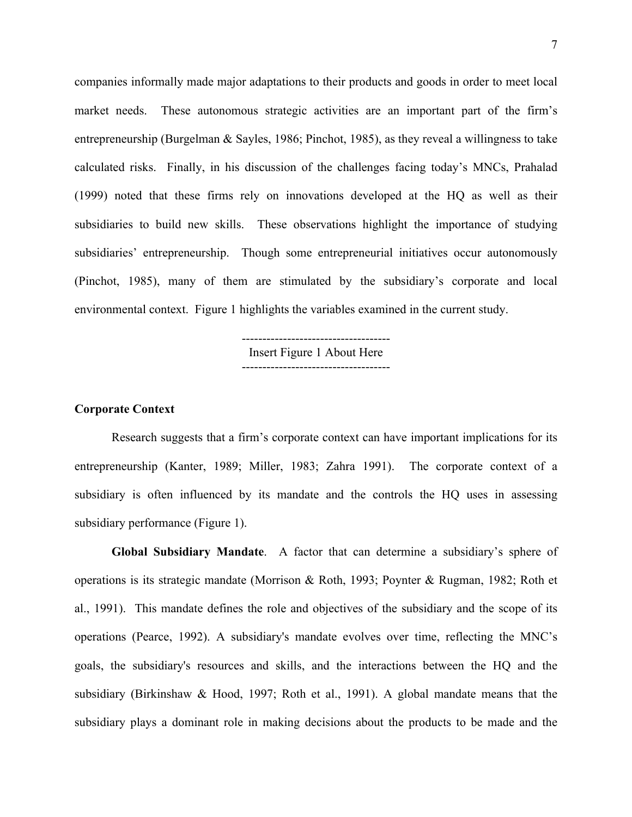companies informally made major adaptations to their products and goods in order to meet local market needs. These autonomous strategic activities are an important part of the firm's entrepreneurship (Burgelman & Sayles, 1986; Pinchot, 1985), as they reveal a willingness to take calculated risks. Finally, in his discussion of the challenges facing today's MNCs, Prahalad (1999) noted that these firms rely on innovations developed at the HQ as well as their subsidiaries to build new skills. These observations highlight the importance of studying subsidiaries' entrepreneurship. Though some entrepreneurial initiatives occur autonomously (Pinchot, 1985), many of them are stimulated by the subsidiary's corporate and local environmental context. Figure 1 highlights the variables examined in the current study.

> ------------------------------------ Insert Figure 1 About Here ------------------------------------

### **Corporate Context**

Research suggests that a firm's corporate context can have important implications for its entrepreneurship (Kanter, 1989; Miller, 1983; Zahra 1991). The corporate context of a subsidiary is often influenced by its mandate and the controls the HQ uses in assessing subsidiary performance (Figure 1).

**Global Subsidiary Mandate**. A factor that can determine a subsidiary's sphere of operations is its strategic mandate (Morrison & Roth, 1993; Poynter & Rugman, 1982; Roth et al., 1991). This mandate defines the role and objectives of the subsidiary and the scope of its operations (Pearce, 1992). A subsidiary's mandate evolves over time, reflecting the MNC's goals, the subsidiary's resources and skills, and the interactions between the HQ and the subsidiary (Birkinshaw & Hood, 1997; Roth et al., 1991). A global mandate means that the subsidiary plays a dominant role in making decisions about the products to be made and the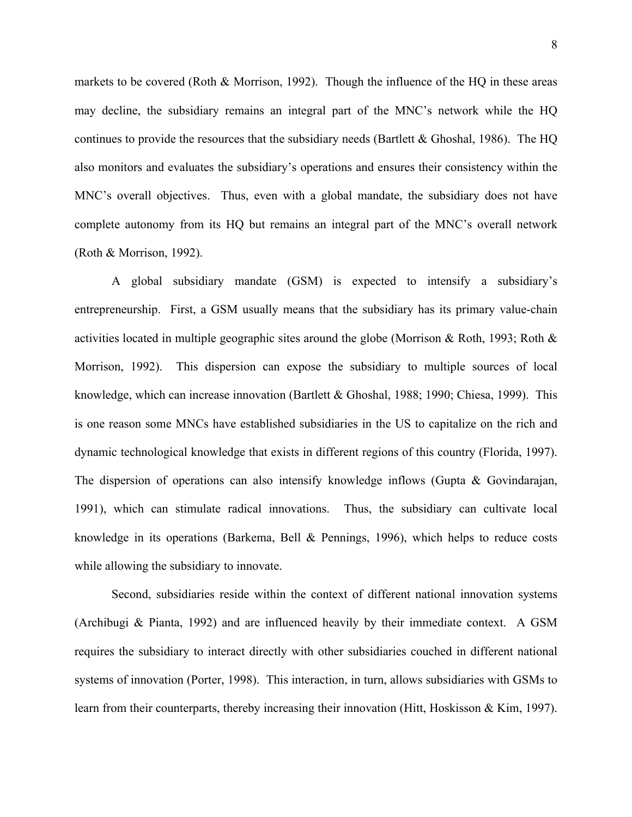markets to be covered (Roth  $&$  Morrison, 1992). Though the influence of the HQ in these areas may decline, the subsidiary remains an integral part of the MNC's network while the HQ continues to provide the resources that the subsidiary needs (Bartlett  $&$  Ghoshal, 1986). The HQ also monitors and evaluates the subsidiary's operations and ensures their consistency within the MNC's overall objectives. Thus, even with a global mandate, the subsidiary does not have complete autonomy from its HQ but remains an integral part of the MNC's overall network (Roth & Morrison, 1992).

A global subsidiary mandate (GSM) is expected to intensify a subsidiary's entrepreneurship. First, a GSM usually means that the subsidiary has its primary value-chain activities located in multiple geographic sites around the globe (Morrison & Roth, 1993; Roth & Morrison, 1992). This dispersion can expose the subsidiary to multiple sources of local knowledge, which can increase innovation (Bartlett & Ghoshal, 1988; 1990; Chiesa, 1999). This is one reason some MNCs have established subsidiaries in the US to capitalize on the rich and dynamic technological knowledge that exists in different regions of this country (Florida, 1997). The dispersion of operations can also intensify knowledge inflows (Gupta & Govindarajan, 1991), which can stimulate radical innovations. Thus, the subsidiary can cultivate local knowledge in its operations (Barkema, Bell & Pennings, 1996), which helps to reduce costs while allowing the subsidiary to innovate.

Second, subsidiaries reside within the context of different national innovation systems (Archibugi & Pianta, 1992) and are influenced heavily by their immediate context. A GSM requires the subsidiary to interact directly with other subsidiaries couched in different national systems of innovation (Porter, 1998). This interaction, in turn, allows subsidiaries with GSMs to learn from their counterparts, thereby increasing their innovation (Hitt, Hoskisson & Kim, 1997).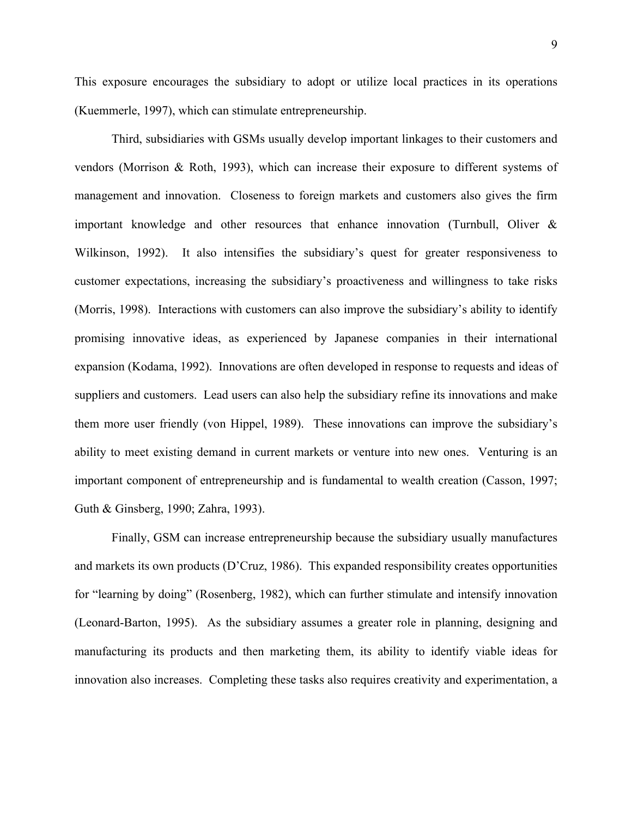This exposure encourages the subsidiary to adopt or utilize local practices in its operations (Kuemmerle, 1997), which can stimulate entrepreneurship.

Third, subsidiaries with GSMs usually develop important linkages to their customers and vendors (Morrison & Roth, 1993), which can increase their exposure to different systems of management and innovation. Closeness to foreign markets and customers also gives the firm important knowledge and other resources that enhance innovation (Turnbull, Oliver  $\&$ Wilkinson, 1992). It also intensifies the subsidiary's quest for greater responsiveness to customer expectations, increasing the subsidiary's proactiveness and willingness to take risks (Morris, 1998). Interactions with customers can also improve the subsidiary's ability to identify promising innovative ideas, as experienced by Japanese companies in their international expansion (Kodama, 1992). Innovations are often developed in response to requests and ideas of suppliers and customers. Lead users can also help the subsidiary refine its innovations and make them more user friendly (von Hippel, 1989). These innovations can improve the subsidiary's ability to meet existing demand in current markets or venture into new ones. Venturing is an important component of entrepreneurship and is fundamental to wealth creation (Casson, 1997; Guth & Ginsberg, 1990; Zahra, 1993).

Finally, GSM can increase entrepreneurship because the subsidiary usually manufactures and markets its own products (D'Cruz, 1986). This expanded responsibility creates opportunities for "learning by doing" (Rosenberg, 1982), which can further stimulate and intensify innovation (Leonard-Barton, 1995). As the subsidiary assumes a greater role in planning, designing and manufacturing its products and then marketing them, its ability to identify viable ideas for innovation also increases. Completing these tasks also requires creativity and experimentation, a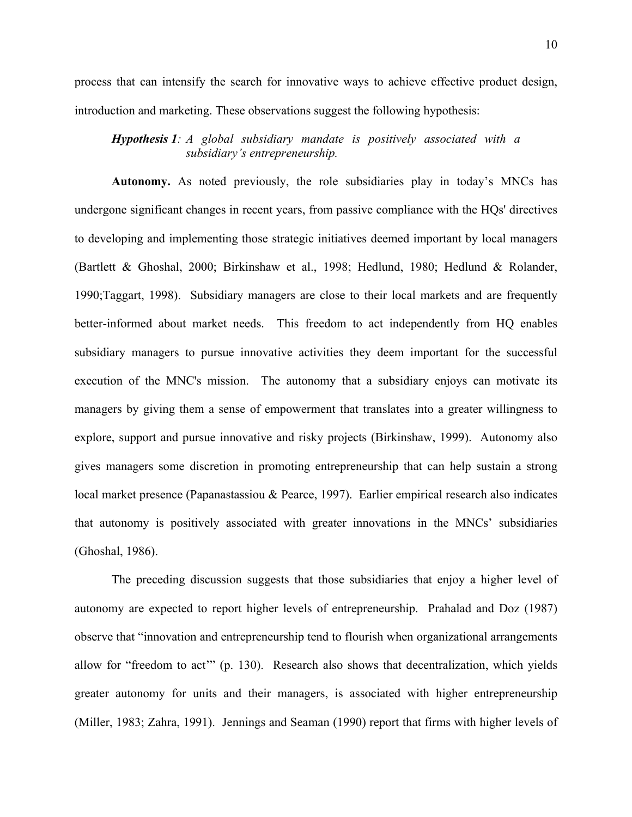process that can intensify the search for innovative ways to achieve effective product design, introduction and marketing. These observations suggest the following hypothesis:

*Hypothesis 1: A global subsidiary mandate is positively associated with a subsidiary's entrepreneurship.*

**Autonomy.** As noted previously, the role subsidiaries play in today's MNCs has undergone significant changes in recent years, from passive compliance with the HQs' directives to developing and implementing those strategic initiatives deemed important by local managers (Bartlett & Ghoshal, 2000; Birkinshaw et al., 1998; Hedlund, 1980; Hedlund & Rolander, 1990;Taggart, 1998). Subsidiary managers are close to their local markets and are frequently better-informed about market needs. This freedom to act independently from HQ enables subsidiary managers to pursue innovative activities they deem important for the successful execution of the MNC's mission. The autonomy that a subsidiary enjoys can motivate its managers by giving them a sense of empowerment that translates into a greater willingness to explore, support and pursue innovative and risky projects (Birkinshaw, 1999). Autonomy also gives managers some discretion in promoting entrepreneurship that can help sustain a strong local market presence (Papanastassiou & Pearce, 1997). Earlier empirical research also indicates that autonomy is positively associated with greater innovations in the MNCs' subsidiaries (Ghoshal, 1986).

The preceding discussion suggests that those subsidiaries that enjoy a higher level of autonomy are expected to report higher levels of entrepreneurship. Prahalad and Doz (1987) observe that "innovation and entrepreneurship tend to flourish when organizational arrangements allow for "freedom to act'" (p. 130). Research also shows that decentralization, which yields greater autonomy for units and their managers, is associated with higher entrepreneurship (Miller, 1983; Zahra, 1991). Jennings and Seaman (1990) report that firms with higher levels of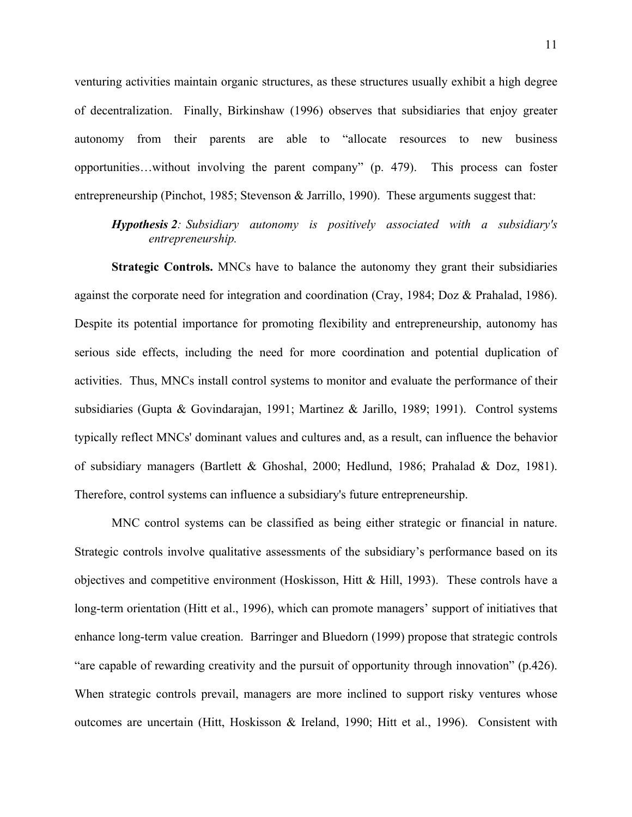venturing activities maintain organic structures, as these structures usually exhibit a high degree of decentralization. Finally, Birkinshaw (1996) observes that subsidiaries that enjoy greater autonomy from their parents are able to "allocate resources to new business opportunities…without involving the parent company" (p. 479). This process can foster entrepreneurship (Pinchot, 1985; Stevenson & Jarrillo, 1990). These arguments suggest that:

*Hypothesis 2: Subsidiary autonomy is positively associated with a subsidiary's entrepreneurship.*

**Strategic Controls.** MNCs have to balance the autonomy they grant their subsidiaries against the corporate need for integration and coordination (Cray, 1984; Doz & Prahalad, 1986). Despite its potential importance for promoting flexibility and entrepreneurship, autonomy has serious side effects, including the need for more coordination and potential duplication of activities. Thus, MNCs install control systems to monitor and evaluate the performance of their subsidiaries (Gupta & Govindarajan, 1991; Martinez & Jarillo, 1989; 1991). Control systems typically reflect MNCs' dominant values and cultures and, as a result, can influence the behavior of subsidiary managers (Bartlett & Ghoshal, 2000; Hedlund, 1986; Prahalad & Doz, 1981). Therefore, control systems can influence a subsidiary's future entrepreneurship.

MNC control systems can be classified as being either strategic or financial in nature. Strategic controls involve qualitative assessments of the subsidiary's performance based on its objectives and competitive environment (Hoskisson, Hitt & Hill, 1993). These controls have a long-term orientation (Hitt et al., 1996), which can promote managers' support of initiatives that enhance long-term value creation. Barringer and Bluedorn (1999) propose that strategic controls "are capable of rewarding creativity and the pursuit of opportunity through innovation" (p.426). When strategic controls prevail, managers are more inclined to support risky ventures whose outcomes are uncertain (Hitt, Hoskisson & Ireland, 1990; Hitt et al., 1996). Consistent with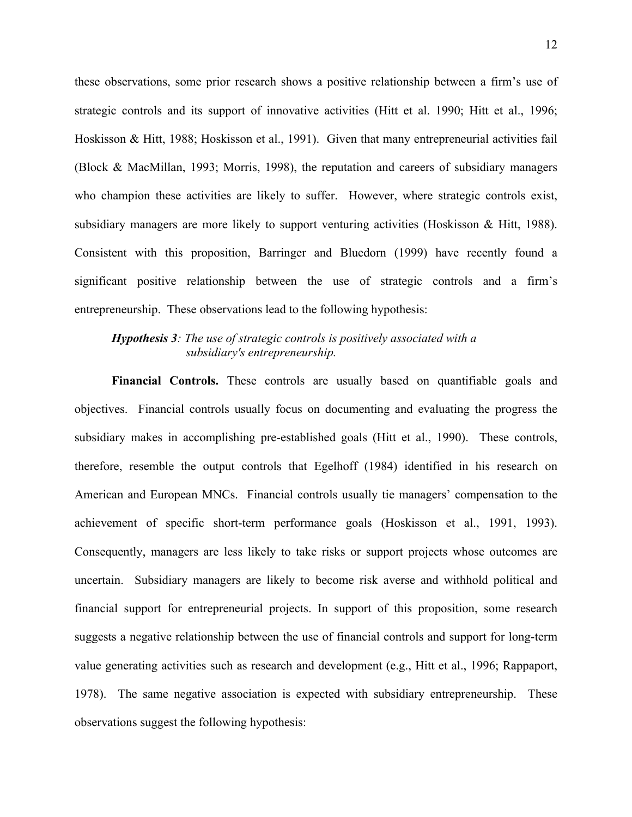these observations, some prior research shows a positive relationship between a firm's use of strategic controls and its support of innovative activities (Hitt et al. 1990; Hitt et al., 1996; Hoskisson & Hitt, 1988; Hoskisson et al., 1991). Given that many entrepreneurial activities fail (Block & MacMillan, 1993; Morris, 1998), the reputation and careers of subsidiary managers who champion these activities are likely to suffer. However, where strategic controls exist, subsidiary managers are more likely to support venturing activities (Hoskisson & Hitt, 1988). Consistent with this proposition, Barringer and Bluedorn (1999) have recently found a significant positive relationship between the use of strategic controls and a firm's entrepreneurship. These observations lead to the following hypothesis:

# *Hypothesis 3: The use of strategic controls is positively associated with a subsidiary's entrepreneurship.*

**Financial Controls.** These controls are usually based on quantifiable goals and objectives. Financial controls usually focus on documenting and evaluating the progress the subsidiary makes in accomplishing pre-established goals (Hitt et al., 1990). These controls, therefore, resemble the output controls that Egelhoff (1984) identified in his research on American and European MNCs. Financial controls usually tie managers' compensation to the achievement of specific short-term performance goals (Hoskisson et al., 1991, 1993). Consequently, managers are less likely to take risks or support projects whose outcomes are uncertain. Subsidiary managers are likely to become risk averse and withhold political and financial support for entrepreneurial projects. In support of this proposition, some research suggests a negative relationship between the use of financial controls and support for long-term value generating activities such as research and development (e.g., Hitt et al., 1996; Rappaport, 1978). The same negative association is expected with subsidiary entrepreneurship. These observations suggest the following hypothesis: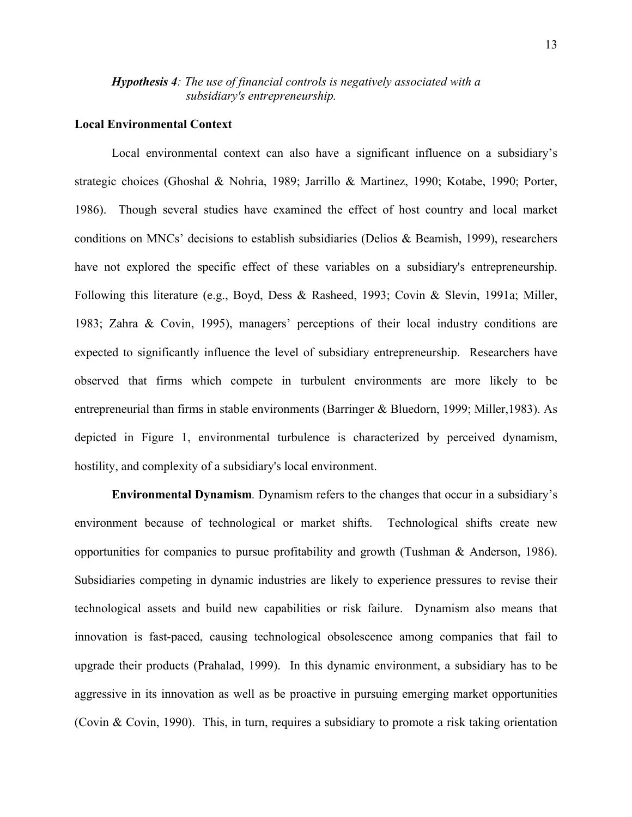# *Hypothesis 4: The use of financial controls is negatively associated with a subsidiary's entrepreneurship.*

### **Local Environmental Context**

Local environmental context can also have a significant influence on a subsidiary's strategic choices (Ghoshal & Nohria, 1989; Jarrillo & Martinez, 1990; Kotabe, 1990; Porter, 1986). Though several studies have examined the effect of host country and local market conditions on MNCs' decisions to establish subsidiaries (Delios & Beamish, 1999), researchers have not explored the specific effect of these variables on a subsidiary's entrepreneurship. Following this literature (e.g., Boyd, Dess & Rasheed, 1993; Covin & Slevin, 1991a; Miller, 1983; Zahra & Covin, 1995), managers' perceptions of their local industry conditions are expected to significantly influence the level of subsidiary entrepreneurship. Researchers have observed that firms which compete in turbulent environments are more likely to be entrepreneurial than firms in stable environments (Barringer & Bluedorn, 1999; Miller,1983). As depicted in Figure 1, environmental turbulence is characterized by perceived dynamism, hostility, and complexity of a subsidiary's local environment.

**Environmental Dynamism***.* Dynamism refers to the changes that occur in a subsidiary's environment because of technological or market shifts. Technological shifts create new opportunities for companies to pursue profitability and growth (Tushman & Anderson, 1986). Subsidiaries competing in dynamic industries are likely to experience pressures to revise their technological assets and build new capabilities or risk failure. Dynamism also means that innovation is fast-paced, causing technological obsolescence among companies that fail to upgrade their products (Prahalad, 1999). In this dynamic environment, a subsidiary has to be aggressive in its innovation as well as be proactive in pursuing emerging market opportunities (Covin & Covin, 1990). This, in turn, requires a subsidiary to promote a risk taking orientation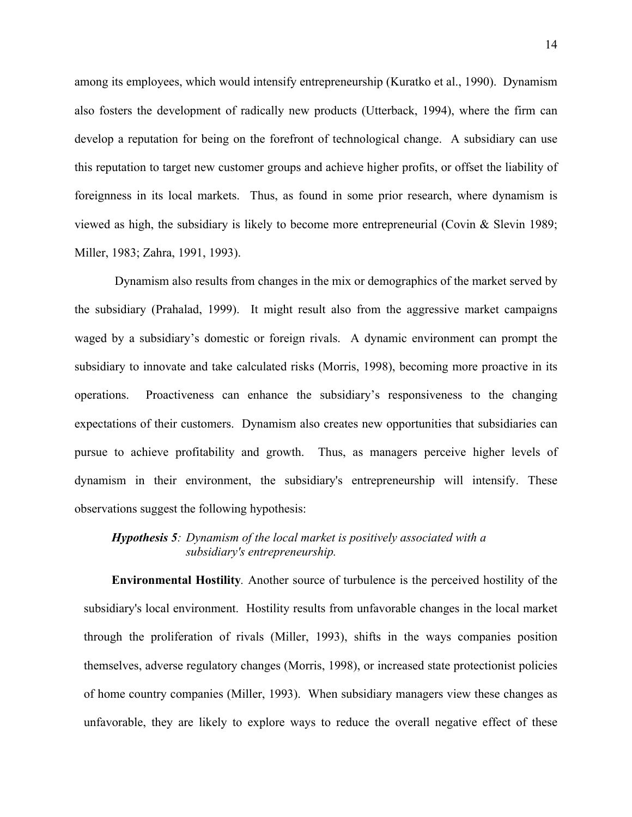among its employees, which would intensify entrepreneurship (Kuratko et al., 1990). Dynamism also fosters the development of radically new products (Utterback, 1994), where the firm can develop a reputation for being on the forefront of technological change. A subsidiary can use this reputation to target new customer groups and achieve higher profits, or offset the liability of foreignness in its local markets. Thus, as found in some prior research, where dynamism is viewed as high, the subsidiary is likely to become more entrepreneurial (Covin  $\&$  Slevin 1989; Miller, 1983; Zahra, 1991, 1993).

 Dynamism also results from changes in the mix or demographics of the market served by the subsidiary (Prahalad, 1999). It might result also from the aggressive market campaigns waged by a subsidiary's domestic or foreign rivals. A dynamic environment can prompt the subsidiary to innovate and take calculated risks (Morris, 1998), becoming more proactive in its operations. Proactiveness can enhance the subsidiary's responsiveness to the changing expectations of their customers. Dynamism also creates new opportunities that subsidiaries can pursue to achieve profitability and growth. Thus, as managers perceive higher levels of dynamism in their environment, the subsidiary's entrepreneurship will intensify. These observations suggest the following hypothesis:

# *Hypothesis 5: Dynamism of the local market is positively associated with a subsidiary's entrepreneurship.*

**Environmental Hostility***.* Another source of turbulence is the perceived hostility of the subsidiary's local environment. Hostility results from unfavorable changes in the local market through the proliferation of rivals (Miller, 1993), shifts in the ways companies position themselves, adverse regulatory changes (Morris, 1998), or increased state protectionist policies of home country companies (Miller, 1993). When subsidiary managers view these changes as unfavorable, they are likely to explore ways to reduce the overall negative effect of these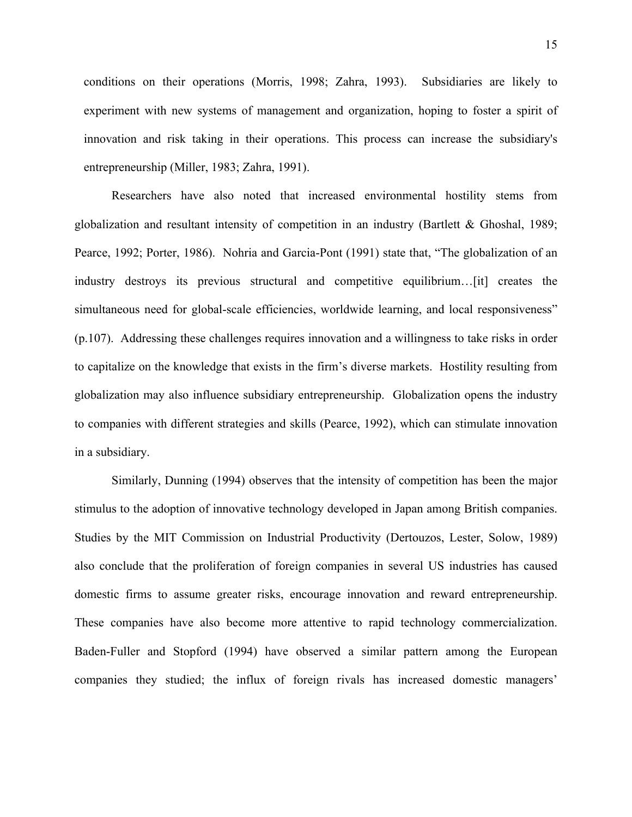conditions on their operations (Morris, 1998; Zahra, 1993). Subsidiaries are likely to experiment with new systems of management and organization, hoping to foster a spirit of innovation and risk taking in their operations. This process can increase the subsidiary's entrepreneurship (Miller, 1983; Zahra, 1991).

Researchers have also noted that increased environmental hostility stems from globalization and resultant intensity of competition in an industry (Bartlett & Ghoshal, 1989; Pearce, 1992; Porter, 1986). Nohria and Garcia-Pont (1991) state that, "The globalization of an industry destroys its previous structural and competitive equilibrium…[it] creates the simultaneous need for global-scale efficiencies, worldwide learning, and local responsiveness" (p.107). Addressing these challenges requires innovation and a willingness to take risks in order to capitalize on the knowledge that exists in the firm's diverse markets. Hostility resulting from globalization may also influence subsidiary entrepreneurship. Globalization opens the industry to companies with different strategies and skills (Pearce, 1992), which can stimulate innovation in a subsidiary.

Similarly, Dunning (1994) observes that the intensity of competition has been the major stimulus to the adoption of innovative technology developed in Japan among British companies. Studies by the MIT Commission on Industrial Productivity (Dertouzos, Lester, Solow, 1989) also conclude that the proliferation of foreign companies in several US industries has caused domestic firms to assume greater risks, encourage innovation and reward entrepreneurship. These companies have also become more attentive to rapid technology commercialization. Baden-Fuller and Stopford (1994) have observed a similar pattern among the European companies they studied; the influx of foreign rivals has increased domestic managers'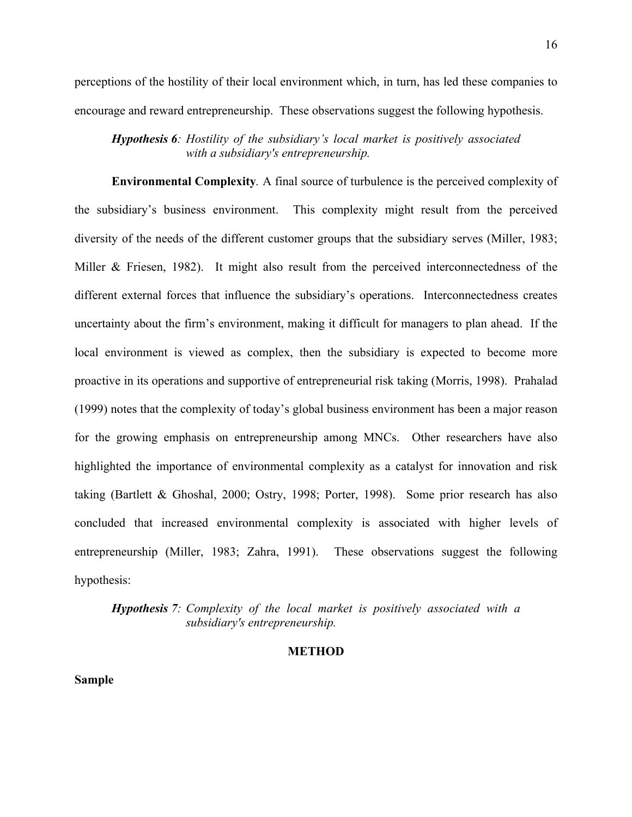perceptions of the hostility of their local environment which, in turn, has led these companies to encourage and reward entrepreneurship. These observations suggest the following hypothesis.

*Hypothesis 6: Hostility of the subsidiary's local market is positively associated with a subsidiary's entrepreneurship.*

**Environmental Complexity***.* A final source of turbulence is the perceived complexity of the subsidiary's business environment. This complexity might result from the perceived diversity of the needs of the different customer groups that the subsidiary serves (Miller, 1983; Miller & Friesen, 1982). It might also result from the perceived interconnectedness of the different external forces that influence the subsidiary's operations. Interconnectedness creates uncertainty about the firm's environment, making it difficult for managers to plan ahead. If the local environment is viewed as complex, then the subsidiary is expected to become more proactive in its operations and supportive of entrepreneurial risk taking (Morris, 1998). Prahalad (1999) notes that the complexity of today's global business environment has been a major reason for the growing emphasis on entrepreneurship among MNCs. Other researchers have also highlighted the importance of environmental complexity as a catalyst for innovation and risk taking (Bartlett & Ghoshal, 2000; Ostry, 1998; Porter, 1998). Some prior research has also concluded that increased environmental complexity is associated with higher levels of entrepreneurship (Miller, 1983; Zahra, 1991). These observations suggest the following hypothesis:

*Hypothesis 7: Complexity of the local market is positively associated with a subsidiary's entrepreneurship.*

#### **METHOD**

**Sample**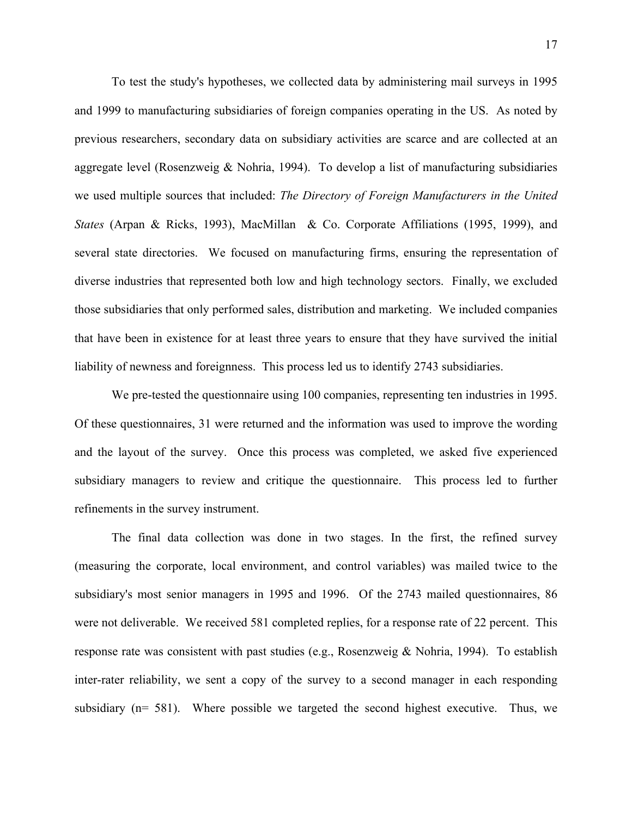To test the study's hypotheses, we collected data by administering mail surveys in 1995 and 1999 to manufacturing subsidiaries of foreign companies operating in the US. As noted by previous researchers, secondary data on subsidiary activities are scarce and are collected at an aggregate level (Rosenzweig & Nohria, 1994). To develop a list of manufacturing subsidiaries we used multiple sources that included: *The Directory of Foreign Manufacturers in the United States* (Arpan & Ricks, 1993), MacMillan & Co. Corporate Affiliations (1995, 1999), and several state directories. We focused on manufacturing firms, ensuring the representation of diverse industries that represented both low and high technology sectors. Finally, we excluded those subsidiaries that only performed sales, distribution and marketing. We included companies that have been in existence for at least three years to ensure that they have survived the initial liability of newness and foreignness. This process led us to identify 2743 subsidiaries.

We pre-tested the questionnaire using 100 companies, representing ten industries in 1995. Of these questionnaires, 31 were returned and the information was used to improve the wording and the layout of the survey. Once this process was completed, we asked five experienced subsidiary managers to review and critique the questionnaire. This process led to further refinements in the survey instrument.

The final data collection was done in two stages. In the first, the refined survey (measuring the corporate, local environment, and control variables) was mailed twice to the subsidiary's most senior managers in 1995 and 1996. Of the 2743 mailed questionnaires, 86 were not deliverable. We received 581 completed replies, for a response rate of 22 percent. This response rate was consistent with past studies (e.g., Rosenzweig & Nohria, 1994). To establish inter-rater reliability, we sent a copy of the survey to a second manager in each responding subsidiary (n= 581). Where possible we targeted the second highest executive. Thus, we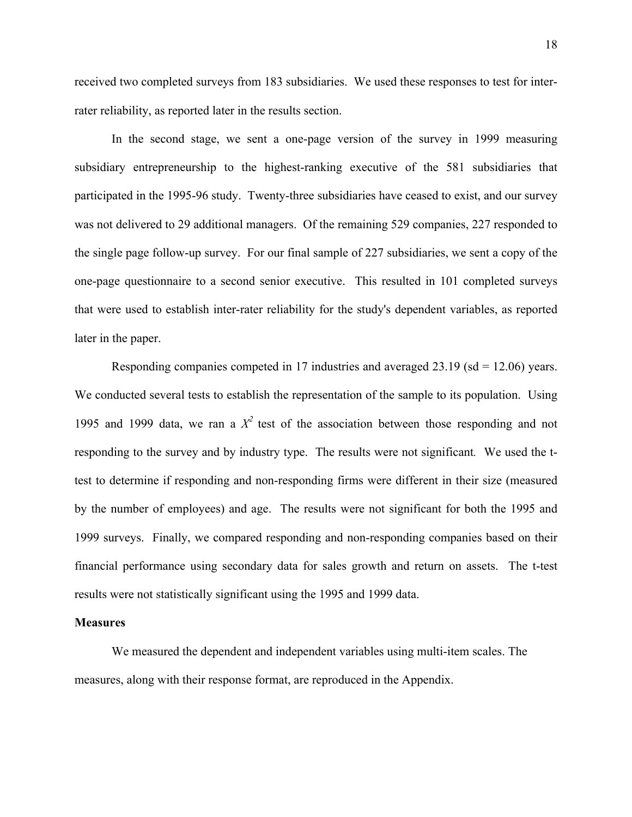received two completed surveys from 183 subsidiaries. We used these responses to test for interrater reliability, as reported later in the results section.

In the second stage, we sent a one-page version of the survey in 1999 measuring subsidiary entrepreneurship to the highest-ranking executive of the 581 subsidiaries that participated in the 1995-96 study. Twenty-three subsidiaries have ceased to exist, and our survey was not delivered to 29 additional managers. Of the remaining 529 companies, 227 responded to the single page follow-up survey. For our final sample of 227 subsidiaries, we sent a copy of the one-page questionnaire to a second senior executive. This resulted in 101 completed surveys that were used to establish inter-rater reliability for the study's dependent variables, as reported later in the paper.

Responding companies competed in 17 industries and averaged 23.19 (sd = 12.06) years. We conducted several tests to establish the representation of the sample to its population. Using 1995 and 1999 data, we ran a  $X^2$  test of the association between those responding and not responding to the survey and by industry type. The results were not significant*.* We used the ttest to determine if responding and non-responding firms were different in their size (measured by the number of employees) and age. The results were not significant for both the 1995 and 1999 surveys. Finally, we compared responding and non-responding companies based on their financial performance using secondary data for sales growth and return on assets. The t-test results were not statistically significant using the 1995 and 1999 data.

#### **Measures**

We measured the dependent and independent variables using multi-item scales. The measures, along with their response format, are reproduced in the Appendix.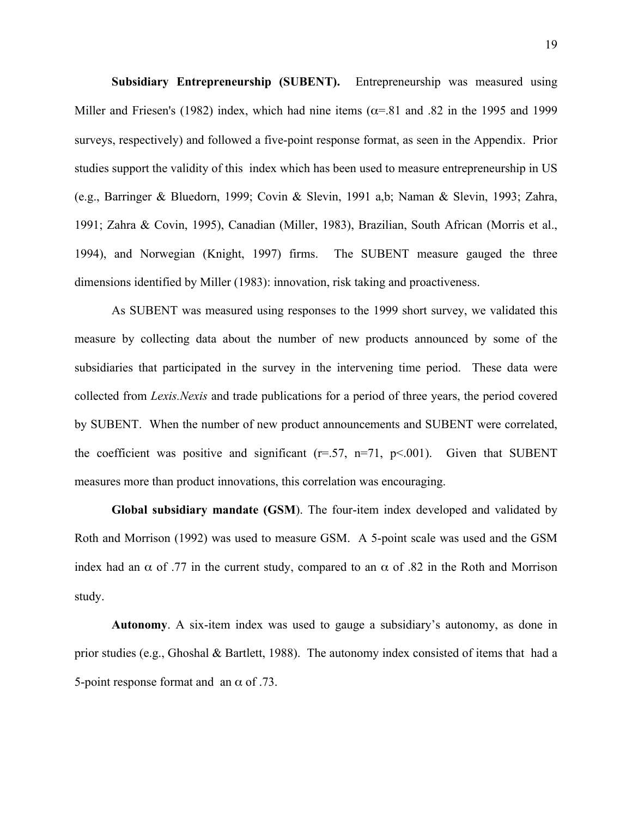**Subsidiary Entrepreneurship (SUBENT).** Entrepreneurship was measured using Miller and Friesen's (1982) index, which had nine items ( $\alpha$ =.81 and .82 in the 1995 and 1999 surveys, respectively) and followed a five-point response format, as seen in the Appendix. Prior studies support the validity of this index which has been used to measure entrepreneurship in US (e.g., Barringer & Bluedorn, 1999; Covin & Slevin, 1991 a,b; Naman & Slevin, 1993; Zahra, 1991; Zahra & Covin, 1995), Canadian (Miller, 1983), Brazilian, South African (Morris et al., 1994), and Norwegian (Knight, 1997) firms. The SUBENT measure gauged the three dimensions identified by Miller (1983): innovation, risk taking and proactiveness.

As SUBENT was measured using responses to the 1999 short survey, we validated this measure by collecting data about the number of new products announced by some of the subsidiaries that participated in the survey in the intervening time period. These data were collected from *Lexis.Nexis* and trade publications for a period of three years, the period covered by SUBENT. When the number of new product announcements and SUBENT were correlated, the coefficient was positive and significant  $(r=.57, n=.71, p<.001)$ . Given that SUBENT measures more than product innovations, this correlation was encouraging.

**Global subsidiary mandate (GSM**). The four-item index developed and validated by Roth and Morrison (1992) was used to measure GSM. A 5-point scale was used and the GSM index had an  $\alpha$  of .77 in the current study, compared to an  $\alpha$  of .82 in the Roth and Morrison study.

**Autonomy**. A six-item index was used to gauge a subsidiary's autonomy, as done in prior studies (e.g., Ghoshal & Bartlett, 1988). The autonomy index consisted of items that had a 5-point response format and an  $\alpha$  of .73.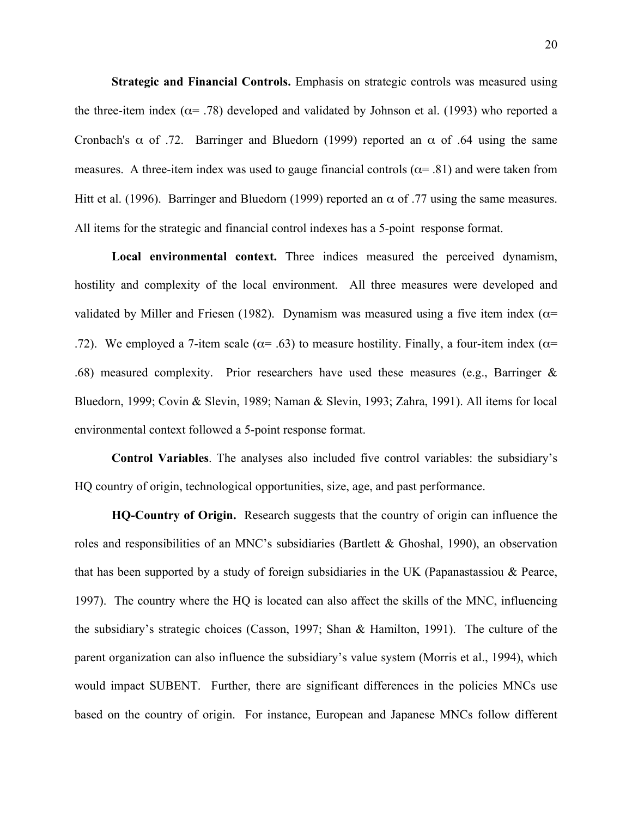**Strategic and Financial Controls.** Emphasis on strategic controls was measured using the three-item index ( $\alpha$ = .78) developed and validated by Johnson et al. (1993) who reported a Cronbach's  $\alpha$  of .72. Barringer and Bluedorn (1999) reported an  $\alpha$  of .64 using the same measures. A three-item index was used to gauge financial controls ( $\alpha$ = .81) and were taken from Hitt et al. (1996). Barringer and Bluedorn (1999) reported an  $\alpha$  of .77 using the same measures. All items for the strategic and financial control indexes has a 5-point response format.

**Local environmental context.** Three indices measured the perceived dynamism, hostility and complexity of the local environment. All three measures were developed and validated by Miller and Friesen (1982). Dynamism was measured using a five item index ( $\alpha$ = .72). We employed a 7-item scale ( $\alpha$ = .63) to measure hostility. Finally, a four-item index ( $\alpha$ = .68) measured complexity. Prior researchers have used these measures (e.g., Barringer & Bluedorn, 1999; Covin & Slevin, 1989; Naman & Slevin, 1993; Zahra, 1991). All items for local environmental context followed a 5-point response format.

**Control Variables**. The analyses also included five control variables: the subsidiary's HQ country of origin, technological opportunities, size, age, and past performance.

**HQ-Country of Origin.** Research suggests that the country of origin can influence the roles and responsibilities of an MNC's subsidiaries (Bartlett & Ghoshal, 1990), an observation that has been supported by a study of foreign subsidiaries in the UK (Papanastassiou  $\&$  Pearce, 1997). The country where the HQ is located can also affect the skills of the MNC, influencing the subsidiary's strategic choices (Casson, 1997; Shan & Hamilton, 1991). The culture of the parent organization can also influence the subsidiary's value system (Morris et al., 1994), which would impact SUBENT. Further, there are significant differences in the policies MNCs use based on the country of origin. For instance, European and Japanese MNCs follow different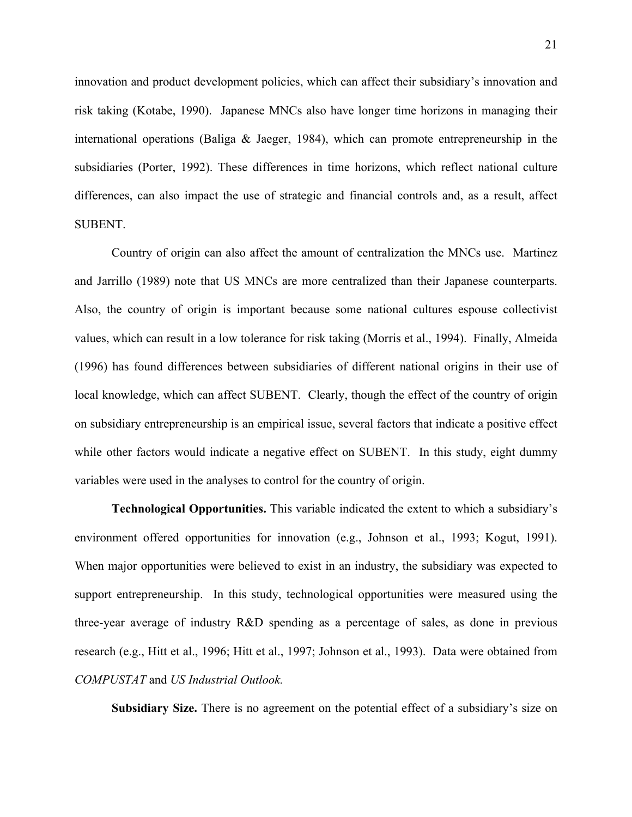innovation and product development policies, which can affect their subsidiary's innovation and risk taking (Kotabe, 1990). Japanese MNCs also have longer time horizons in managing their international operations (Baliga & Jaeger, 1984), which can promote entrepreneurship in the subsidiaries (Porter, 1992). These differences in time horizons, which reflect national culture differences, can also impact the use of strategic and financial controls and, as a result, affect SUBENT.

Country of origin can also affect the amount of centralization the MNCs use. Martinez and Jarrillo (1989) note that US MNCs are more centralized than their Japanese counterparts. Also, the country of origin is important because some national cultures espouse collectivist values, which can result in a low tolerance for risk taking (Morris et al., 1994). Finally, Almeida (1996) has found differences between subsidiaries of different national origins in their use of local knowledge, which can affect SUBENT. Clearly, though the effect of the country of origin on subsidiary entrepreneurship is an empirical issue, several factors that indicate a positive effect while other factors would indicate a negative effect on SUBENT. In this study, eight dummy variables were used in the analyses to control for the country of origin.

**Technological Opportunities.** This variable indicated the extent to which a subsidiary's environment offered opportunities for innovation (e.g., Johnson et al., 1993; Kogut, 1991). When major opportunities were believed to exist in an industry, the subsidiary was expected to support entrepreneurship. In this study, technological opportunities were measured using the three-year average of industry R&D spending as a percentage of sales, as done in previous research (e.g., Hitt et al., 1996; Hitt et al., 1997; Johnson et al., 1993). Data were obtained from *COMPUSTAT* and *US Industrial Outlook.*

**Subsidiary Size.** There is no agreement on the potential effect of a subsidiary's size on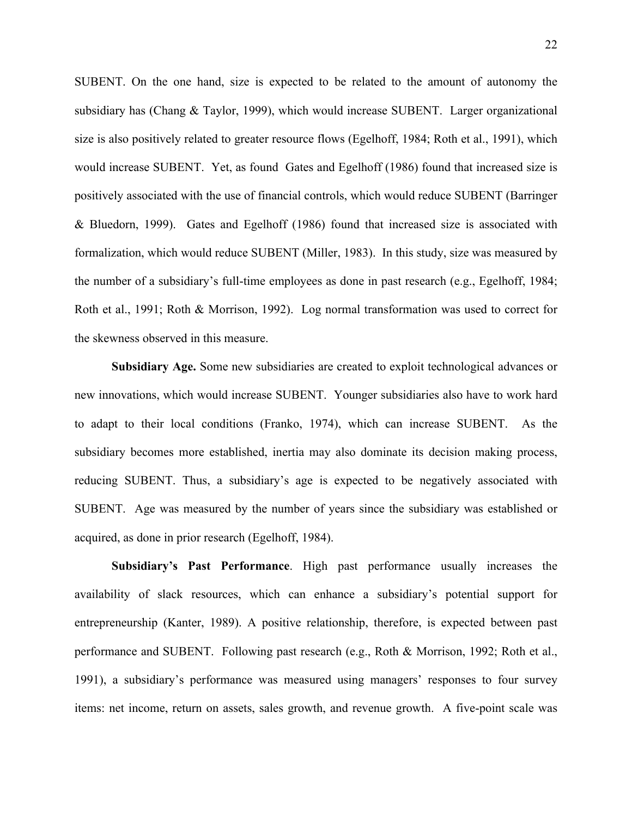SUBENT. On the one hand, size is expected to be related to the amount of autonomy the subsidiary has (Chang & Taylor, 1999), which would increase SUBENT. Larger organizational size is also positively related to greater resource flows (Egelhoff, 1984; Roth et al., 1991), which would increase SUBENT. Yet, as found Gates and Egelhoff (1986) found that increased size is positively associated with the use of financial controls, which would reduce SUBENT (Barringer & Bluedorn, 1999). Gates and Egelhoff (1986) found that increased size is associated with formalization, which would reduce SUBENT (Miller, 1983). In this study, size was measured by the number of a subsidiary's full-time employees as done in past research (e.g., Egelhoff, 1984; Roth et al., 1991; Roth & Morrison, 1992). Log normal transformation was used to correct for the skewness observed in this measure.

**Subsidiary Age.** Some new subsidiaries are created to exploit technological advances or new innovations, which would increase SUBENT. Younger subsidiaries also have to work hard to adapt to their local conditions (Franko, 1974), which can increase SUBENT. As the subsidiary becomes more established, inertia may also dominate its decision making process, reducing SUBENT. Thus, a subsidiary's age is expected to be negatively associated with SUBENT. Age was measured by the number of years since the subsidiary was established or acquired, as done in prior research (Egelhoff, 1984).

**Subsidiary's Past Performance**. High past performance usually increases the availability of slack resources, which can enhance a subsidiary's potential support for entrepreneurship (Kanter, 1989). A positive relationship, therefore, is expected between past performance and SUBENT. Following past research (e.g., Roth & Morrison, 1992; Roth et al., 1991), a subsidiary's performance was measured using managers' responses to four survey items: net income, return on assets, sales growth, and revenue growth. A five-point scale was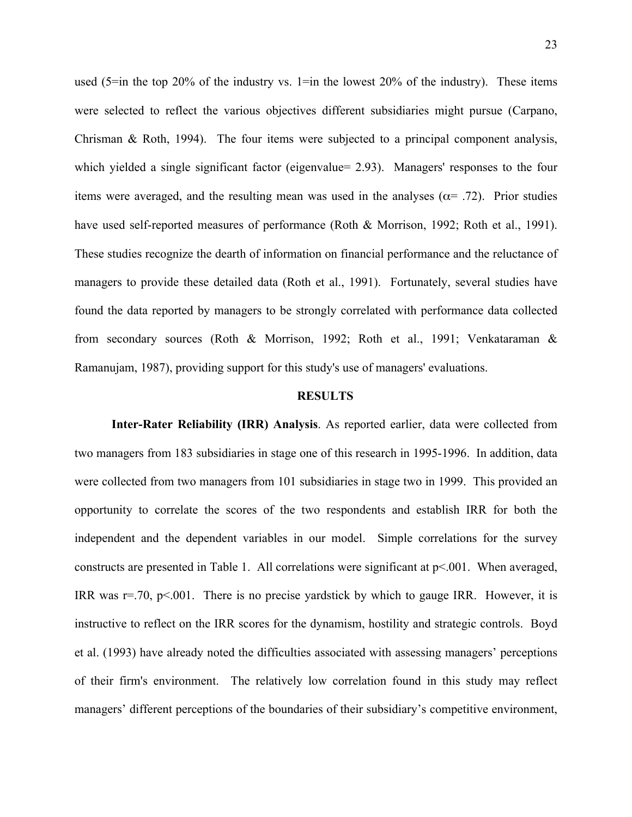used  $(5\equiv$ in the top 20% of the industry vs. 1=in the lowest 20% of the industry). These items were selected to reflect the various objectives different subsidiaries might pursue (Carpano, Chrisman & Roth, 1994). The four items were subjected to a principal component analysis, which yielded a single significant factor (eigenvalue= 2.93). Managers' responses to the four items were averaged, and the resulting mean was used in the analyses ( $\alpha$ = .72). Prior studies have used self-reported measures of performance (Roth & Morrison, 1992; Roth et al., 1991). These studies recognize the dearth of information on financial performance and the reluctance of managers to provide these detailed data (Roth et al., 1991). Fortunately, several studies have found the data reported by managers to be strongly correlated with performance data collected from secondary sources (Roth & Morrison, 1992; Roth et al., 1991; Venkataraman & Ramanujam, 1987), providing support for this study's use of managers' evaluations.

### **RESULTS**

**Inter-Rater Reliability (IRR) Analysis**. As reported earlier, data were collected from two managers from 183 subsidiaries in stage one of this research in 1995-1996. In addition, data were collected from two managers from 101 subsidiaries in stage two in 1999. This provided an opportunity to correlate the scores of the two respondents and establish IRR for both the independent and the dependent variables in our model. Simple correlations for the survey constructs are presented in Table 1. All correlations were significant at  $p<001$ . When averaged, IRR was  $r = .70$ ,  $p < .001$ . There is no precise yardstick by which to gauge IRR. However, it is instructive to reflect on the IRR scores for the dynamism, hostility and strategic controls. Boyd et al. (1993) have already noted the difficulties associated with assessing managers' perceptions of their firm's environment. The relatively low correlation found in this study may reflect managers' different perceptions of the boundaries of their subsidiary's competitive environment,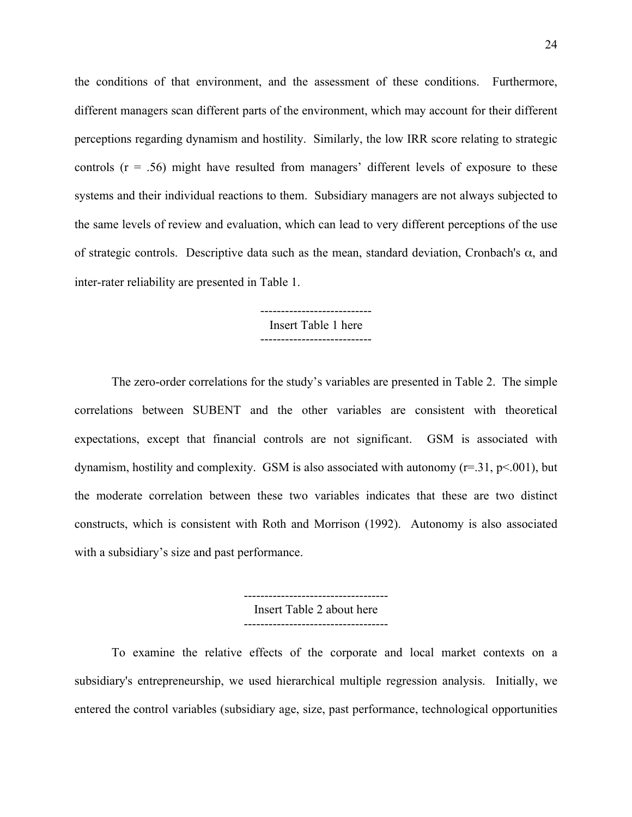the conditions of that environment, and the assessment of these conditions. Furthermore, different managers scan different parts of the environment, which may account for their different perceptions regarding dynamism and hostility. Similarly, the low IRR score relating to strategic controls  $(r = .56)$  might have resulted from managers' different levels of exposure to these systems and their individual reactions to them. Subsidiary managers are not always subjected to the same levels of review and evaluation, which can lead to very different perceptions of the use of strategic controls. Descriptive data such as the mean, standard deviation, Cronbach's  $\alpha$ , and inter-rater reliability are presented in Table 1.

### --------------------------- Insert Table 1 here ---------------------------

The zero-order correlations for the study's variables are presented in Table 2. The simple correlations between SUBENT and the other variables are consistent with theoretical expectations, except that financial controls are not significant. GSM is associated with dynamism, hostility and complexity. GSM is also associated with autonomy  $(r=.31, p<.001)$ , but the moderate correlation between these two variables indicates that these are two distinct constructs, which is consistent with Roth and Morrison (1992). Autonomy is also associated with a subsidiary's size and past performance.

> ----------------------------------- Insert Table 2 about here -----------------------------------

To examine the relative effects of the corporate and local market contexts on a subsidiary's entrepreneurship, we used hierarchical multiple regression analysis. Initially, we entered the control variables (subsidiary age, size, past performance, technological opportunities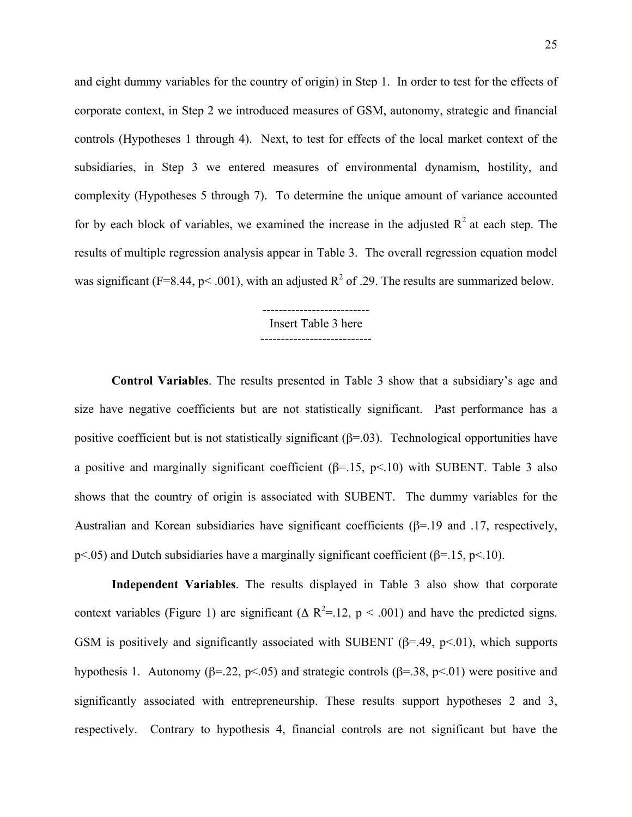and eight dummy variables for the country of origin) in Step 1. In order to test for the effects of corporate context, in Step 2 we introduced measures of GSM, autonomy, strategic and financial controls (Hypotheses 1 through 4). Next, to test for effects of the local market context of the subsidiaries, in Step 3 we entered measures of environmental dynamism, hostility, and complexity (Hypotheses 5 through 7). To determine the unique amount of variance accounted for by each block of variables, we examined the increase in the adjusted  $R^2$  at each step. The results of multiple regression analysis appear in Table 3. The overall regression equation model was significant (F=8.44, p< .001), with an adjusted  $R^2$  of .29. The results are summarized below.

#### $-$ Insert Table 3 here ---------------------------

**Control Variables**. The results presented in Table 3 show that a subsidiary's age and size have negative coefficients but are not statistically significant. Past performance has a positive coefficient but is not statistically significant  $(\beta = 0.03)$ . Technological opportunities have a positive and marginally significant coefficient  $(\beta = 15, p < 10)$  with SUBENT. Table 3 also shows that the country of origin is associated with SUBENT. The dummy variables for the Australian and Korean subsidiaries have significant coefficients (β=.19 and .17, respectively, p<.05) and Dutch subsidiaries have a marginally significant coefficient ( $\beta$ =.15, p<.10).

**Independent Variables**. The results displayed in Table 3 also show that corporate context variables (Figure 1) are significant ( $\Delta R^2 = 12$ ,  $p < .001$ ) and have the predicted signs. GSM is positively and significantly associated with SUBENT ( $\beta$ =.49,  $p$ <.01), which supports hypothesis 1. Autonomy ( $\beta$ =.22, p<.05) and strategic controls ( $\beta$ =.38, p<.01) were positive and significantly associated with entrepreneurship. These results support hypotheses 2 and 3, respectively. Contrary to hypothesis 4, financial controls are not significant but have the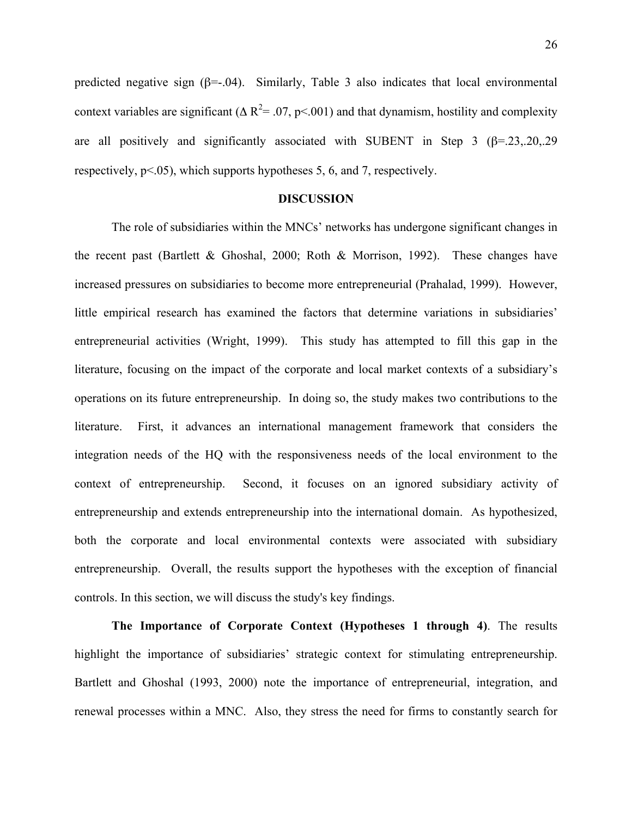predicted negative sign  $(\beta = -0.04)$ . Similarly, Table 3 also indicates that local environmental context variables are significant ( $\Delta R^2$  = .07, p < .001) and that dynamism, hostility and complexity are all positively and significantly associated with SUBENT in Step 3 ( $\beta$ =.23,.20,.29) respectively,  $p<05$ , which supports hypotheses 5, 6, and 7, respectively.

### **DISCUSSION**

The role of subsidiaries within the MNCs' networks has undergone significant changes in the recent past (Bartlett & Ghoshal, 2000; Roth & Morrison, 1992). These changes have increased pressures on subsidiaries to become more entrepreneurial (Prahalad, 1999). However, little empirical research has examined the factors that determine variations in subsidiaries' entrepreneurial activities (Wright, 1999). This study has attempted to fill this gap in the literature, focusing on the impact of the corporate and local market contexts of a subsidiary's operations on its future entrepreneurship. In doing so, the study makes two contributions to the literature. First, it advances an international management framework that considers the integration needs of the HQ with the responsiveness needs of the local environment to the context of entrepreneurship. Second, it focuses on an ignored subsidiary activity of entrepreneurship and extends entrepreneurship into the international domain. As hypothesized, both the corporate and local environmental contexts were associated with subsidiary entrepreneurship. Overall, the results support the hypotheses with the exception of financial controls. In this section, we will discuss the study's key findings.

**The Importance of Corporate Context (Hypotheses 1 through 4)**. The results highlight the importance of subsidiaries' strategic context for stimulating entrepreneurship. Bartlett and Ghoshal (1993, 2000) note the importance of entrepreneurial, integration, and renewal processes within a MNC. Also, they stress the need for firms to constantly search for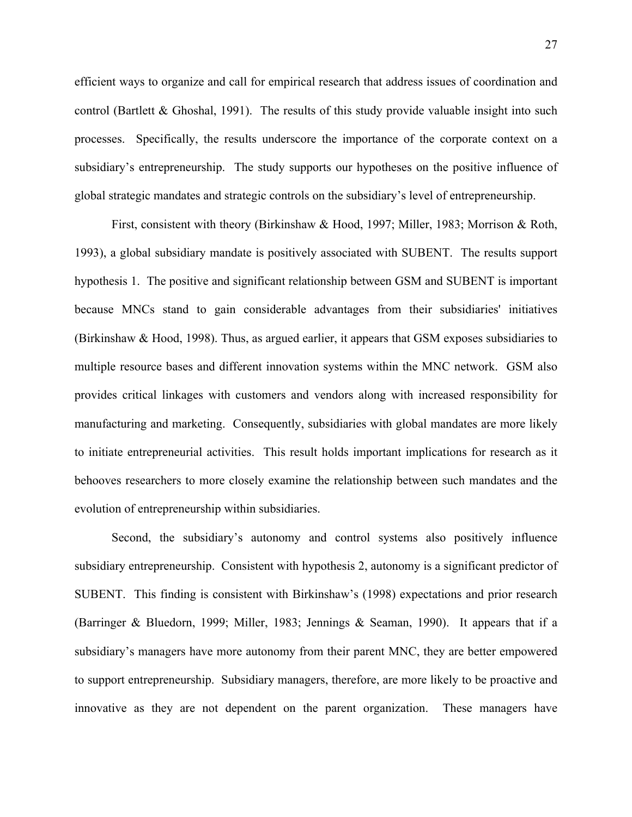efficient ways to organize and call for empirical research that address issues of coordination and control (Bartlett & Ghoshal, 1991). The results of this study provide valuable insight into such processes. Specifically, the results underscore the importance of the corporate context on a subsidiary's entrepreneurship. The study supports our hypotheses on the positive influence of global strategic mandates and strategic controls on the subsidiary's level of entrepreneurship.

 First, consistent with theory (Birkinshaw & Hood, 1997; Miller, 1983; Morrison & Roth, 1993), a global subsidiary mandate is positively associated with SUBENT. The results support hypothesis 1. The positive and significant relationship between GSM and SUBENT is important because MNCs stand to gain considerable advantages from their subsidiaries' initiatives (Birkinshaw & Hood, 1998). Thus, as argued earlier, it appears that GSM exposes subsidiaries to multiple resource bases and different innovation systems within the MNC network. GSM also provides critical linkages with customers and vendors along with increased responsibility for manufacturing and marketing. Consequently, subsidiaries with global mandates are more likely to initiate entrepreneurial activities. This result holds important implications for research as it behooves researchers to more closely examine the relationship between such mandates and the evolution of entrepreneurship within subsidiaries.

Second, the subsidiary's autonomy and control systems also positively influence subsidiary entrepreneurship. Consistent with hypothesis 2, autonomy is a significant predictor of SUBENT. This finding is consistent with Birkinshaw's (1998) expectations and prior research (Barringer & Bluedorn, 1999; Miller, 1983; Jennings & Seaman, 1990). It appears that if a subsidiary's managers have more autonomy from their parent MNC, they are better empowered to support entrepreneurship. Subsidiary managers, therefore, are more likely to be proactive and innovative as they are not dependent on the parent organization. These managers have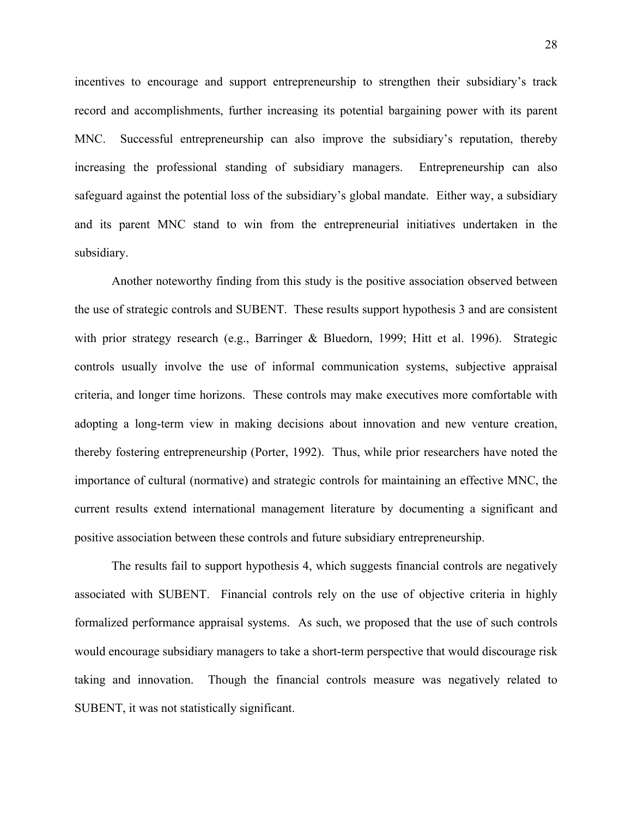incentives to encourage and support entrepreneurship to strengthen their subsidiary's track record and accomplishments, further increasing its potential bargaining power with its parent MNC. Successful entrepreneurship can also improve the subsidiary's reputation, thereby increasing the professional standing of subsidiary managers. Entrepreneurship can also safeguard against the potential loss of the subsidiary's global mandate. Either way, a subsidiary and its parent MNC stand to win from the entrepreneurial initiatives undertaken in the subsidiary.

Another noteworthy finding from this study is the positive association observed between the use of strategic controls and SUBENT. These results support hypothesis 3 and are consistent with prior strategy research (e.g., Barringer & Bluedorn, 1999; Hitt et al. 1996). Strategic controls usually involve the use of informal communication systems, subjective appraisal criteria, and longer time horizons. These controls may make executives more comfortable with adopting a long-term view in making decisions about innovation and new venture creation, thereby fostering entrepreneurship (Porter, 1992). Thus, while prior researchers have noted the importance of cultural (normative) and strategic controls for maintaining an effective MNC, the current results extend international management literature by documenting a significant and positive association between these controls and future subsidiary entrepreneurship.

The results fail to support hypothesis 4, which suggests financial controls are negatively associated with SUBENT. Financial controls rely on the use of objective criteria in highly formalized performance appraisal systems. As such, we proposed that the use of such controls would encourage subsidiary managers to take a short-term perspective that would discourage risk taking and innovation. Though the financial controls measure was negatively related to SUBENT, it was not statistically significant.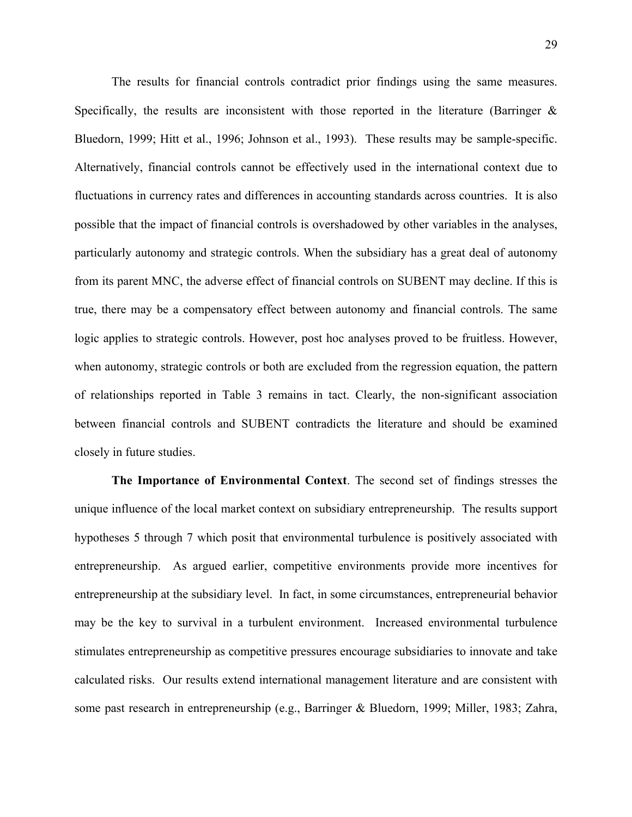The results for financial controls contradict prior findings using the same measures. Specifically, the results are inconsistent with those reported in the literature (Barringer  $\&$ Bluedorn, 1999; Hitt et al., 1996; Johnson et al., 1993). These results may be sample-specific. Alternatively, financial controls cannot be effectively used in the international context due to fluctuations in currency rates and differences in accounting standards across countries. It is also possible that the impact of financial controls is overshadowed by other variables in the analyses, particularly autonomy and strategic controls. When the subsidiary has a great deal of autonomy from its parent MNC, the adverse effect of financial controls on SUBENT may decline. If this is true, there may be a compensatory effect between autonomy and financial controls. The same logic applies to strategic controls. However, post hoc analyses proved to be fruitless. However, when autonomy, strategic controls or both are excluded from the regression equation, the pattern of relationships reported in Table 3 remains in tact. Clearly, the non-significant association between financial controls and SUBENT contradicts the literature and should be examined closely in future studies.

**The Importance of Environmental Context**. The second set of findings stresses the unique influence of the local market context on subsidiary entrepreneurship. The results support hypotheses 5 through 7 which posit that environmental turbulence is positively associated with entrepreneurship. As argued earlier, competitive environments provide more incentives for entrepreneurship at the subsidiary level. In fact, in some circumstances, entrepreneurial behavior may be the key to survival in a turbulent environment. Increased environmental turbulence stimulates entrepreneurship as competitive pressures encourage subsidiaries to innovate and take calculated risks. Our results extend international management literature and are consistent with some past research in entrepreneurship (e.g., Barringer & Bluedorn, 1999; Miller, 1983; Zahra,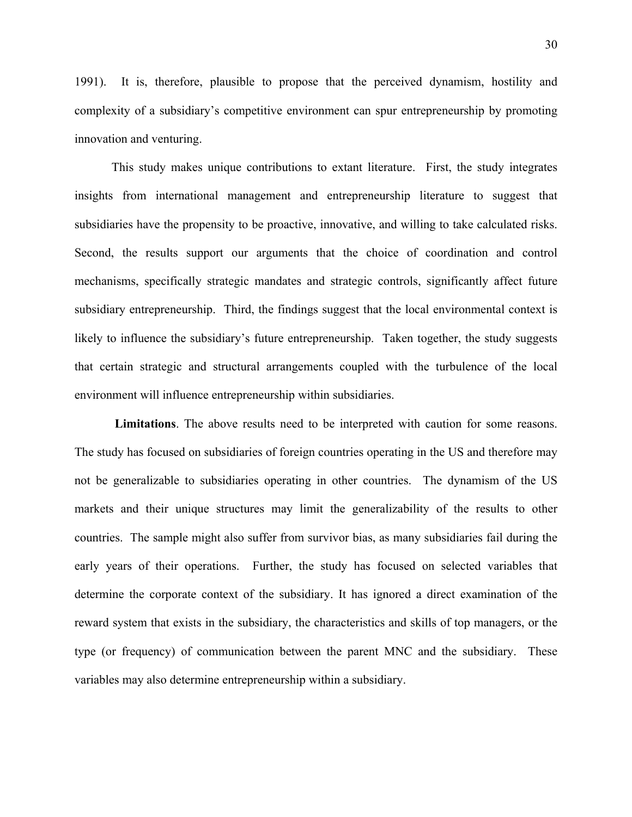1991). It is, therefore, plausible to propose that the perceived dynamism, hostility and complexity of a subsidiary's competitive environment can spur entrepreneurship by promoting innovation and venturing.

This study makes unique contributions to extant literature. First, the study integrates insights from international management and entrepreneurship literature to suggest that subsidiaries have the propensity to be proactive, innovative, and willing to take calculated risks. Second, the results support our arguments that the choice of coordination and control mechanisms, specifically strategic mandates and strategic controls, significantly affect future subsidiary entrepreneurship. Third, the findings suggest that the local environmental context is likely to influence the subsidiary's future entrepreneurship. Taken together, the study suggests that certain strategic and structural arrangements coupled with the turbulence of the local environment will influence entrepreneurship within subsidiaries.

**Limitations**. The above results need to be interpreted with caution for some reasons. The study has focused on subsidiaries of foreign countries operating in the US and therefore may not be generalizable to subsidiaries operating in other countries. The dynamism of the US markets and their unique structures may limit the generalizability of the results to other countries. The sample might also suffer from survivor bias, as many subsidiaries fail during the early years of their operations. Further, the study has focused on selected variables that determine the corporate context of the subsidiary. It has ignored a direct examination of the reward system that exists in the subsidiary, the characteristics and skills of top managers, or the type (or frequency) of communication between the parent MNC and the subsidiary. These variables may also determine entrepreneurship within a subsidiary.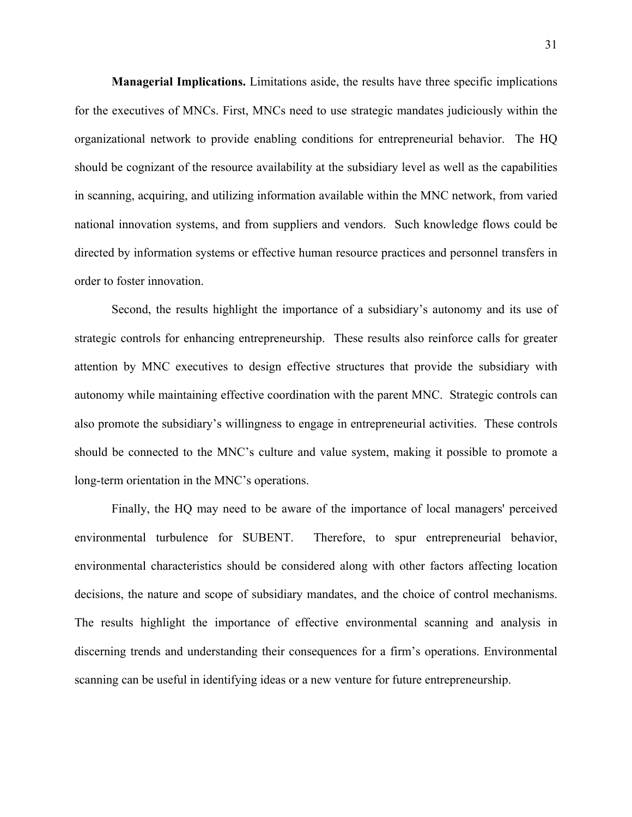**Managerial Implications.** Limitations aside, the results have three specific implications for the executives of MNCs. First, MNCs need to use strategic mandates judiciously within the organizational network to provide enabling conditions for entrepreneurial behavior. The HQ should be cognizant of the resource availability at the subsidiary level as well as the capabilities in scanning, acquiring, and utilizing information available within the MNC network, from varied national innovation systems, and from suppliers and vendors. Such knowledge flows could be directed by information systems or effective human resource practices and personnel transfers in order to foster innovation.

Second, the results highlight the importance of a subsidiary's autonomy and its use of strategic controls for enhancing entrepreneurship. These results also reinforce calls for greater attention by MNC executives to design effective structures that provide the subsidiary with autonomy while maintaining effective coordination with the parent MNC. Strategic controls can also promote the subsidiary's willingness to engage in entrepreneurial activities. These controls should be connected to the MNC's culture and value system, making it possible to promote a long-term orientation in the MNC's operations.

Finally, the HQ may need to be aware of the importance of local managers' perceived environmental turbulence for SUBENT. Therefore, to spur entrepreneurial behavior, environmental characteristics should be considered along with other factors affecting location decisions, the nature and scope of subsidiary mandates, and the choice of control mechanisms. The results highlight the importance of effective environmental scanning and analysis in discerning trends and understanding their consequences for a firm's operations. Environmental scanning can be useful in identifying ideas or a new venture for future entrepreneurship.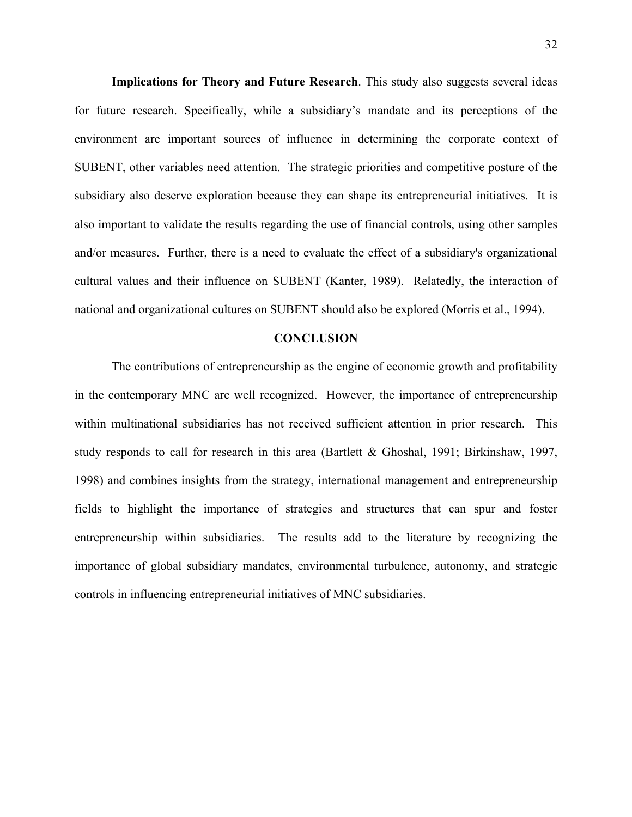**Implications for Theory and Future Research**. This study also suggests several ideas for future research. Specifically, while a subsidiary's mandate and its perceptions of the environment are important sources of influence in determining the corporate context of SUBENT, other variables need attention. The strategic priorities and competitive posture of the subsidiary also deserve exploration because they can shape its entrepreneurial initiatives. It is also important to validate the results regarding the use of financial controls, using other samples and/or measures. Further, there is a need to evaluate the effect of a subsidiary's organizational cultural values and their influence on SUBENT (Kanter, 1989). Relatedly, the interaction of national and organizational cultures on SUBENT should also be explored (Morris et al., 1994).

#### **CONCLUSION**

The contributions of entrepreneurship as the engine of economic growth and profitability in the contemporary MNC are well recognized. However, the importance of entrepreneurship within multinational subsidiaries has not received sufficient attention in prior research. This study responds to call for research in this area (Bartlett & Ghoshal, 1991; Birkinshaw, 1997, 1998) and combines insights from the strategy, international management and entrepreneurship fields to highlight the importance of strategies and structures that can spur and foster entrepreneurship within subsidiaries. The results add to the literature by recognizing the importance of global subsidiary mandates, environmental turbulence, autonomy, and strategic controls in influencing entrepreneurial initiatives of MNC subsidiaries.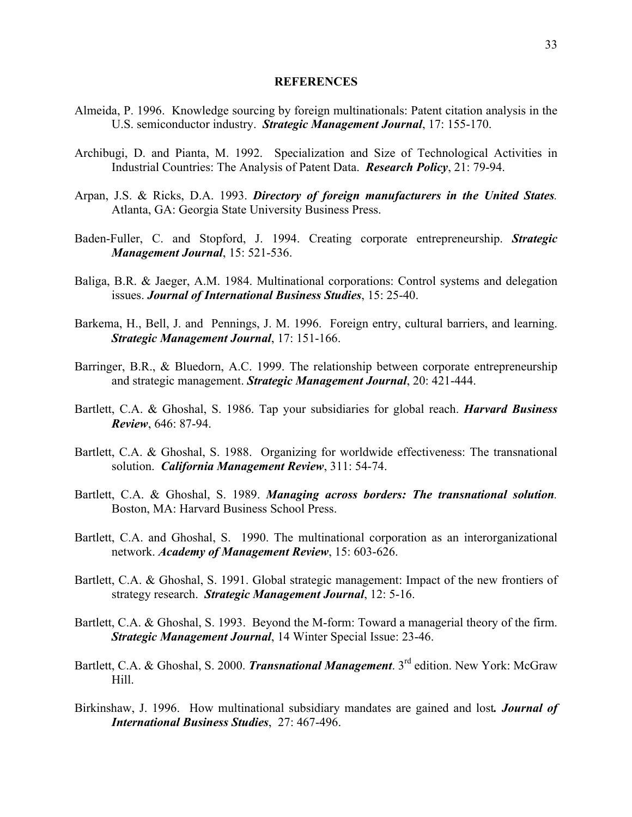### **REFERENCES**

- Almeida, P. 1996. Knowledge sourcing by foreign multinationals: Patent citation analysis in the U.S. semiconductor industry. *Strategic Management Journal*, 17: 155-170.
- Archibugi, D. and Pianta, M. 1992. Specialization and Size of Technological Activities in Industrial Countries: The Analysis of Patent Data. *Research Policy*, 21: 79-94.
- Arpan, J.S. & Ricks, D.A. 1993. *Directory of foreign manufacturers in the United States.*  Atlanta, GA: Georgia State University Business Press.
- Baden-Fuller, C. and Stopford, J. 1994. Creating corporate entrepreneurship. *Strategic Management Journal*, 15: 521-536.
- Baliga, B.R. & Jaeger, A.M. 1984. Multinational corporations: Control systems and delegation issues. *Journal of International Business Studies*, 15: 25-40.
- Barkema, H., Bell, J. and Pennings, J. M. 1996. Foreign entry, cultural barriers, and learning. *Strategic Management Journal*, 17: 151-166.
- Barringer, B.R., & Bluedorn, A.C. 1999. The relationship between corporate entrepreneurship and strategic management. *Strategic Management Journal*, 20: 421-444.
- Bartlett, C.A. & Ghoshal, S. 1986. Tap your subsidiaries for global reach. *Harvard Business Review*, 646: 87-94.
- Bartlett, C.A. & Ghoshal, S. 1988. Organizing for worldwide effectiveness: The transnational solution. *California Management Review*, 311: 54-74.
- Bartlett, C.A. & Ghoshal, S. 1989. *Managing across borders: The transnational solution.* Boston, MA: Harvard Business School Press.
- Bartlett, C.A. and Ghoshal, S. 1990. The multinational corporation as an interorganizational network. *Academy of Management Review*, 15: 603-626.
- Bartlett, C.A. & Ghoshal, S. 1991. Global strategic management: Impact of the new frontiers of strategy research. *Strategic Management Journal*, 12: 5-16.
- Bartlett, C.A. & Ghoshal, S. 1993. Beyond the M-form: Toward a managerial theory of the firm. *Strategic Management Journal*, 14 Winter Special Issue: 23-46.
- Bartlett, C.A. & Ghoshal, S. 2000. *Transnational Management*. 3rd edition. New York: McGraw Hill.
- Birkinshaw, J. 1996. How multinational subsidiary mandates are gained and lost*. Journal of International Business Studies*, 27: 467-496.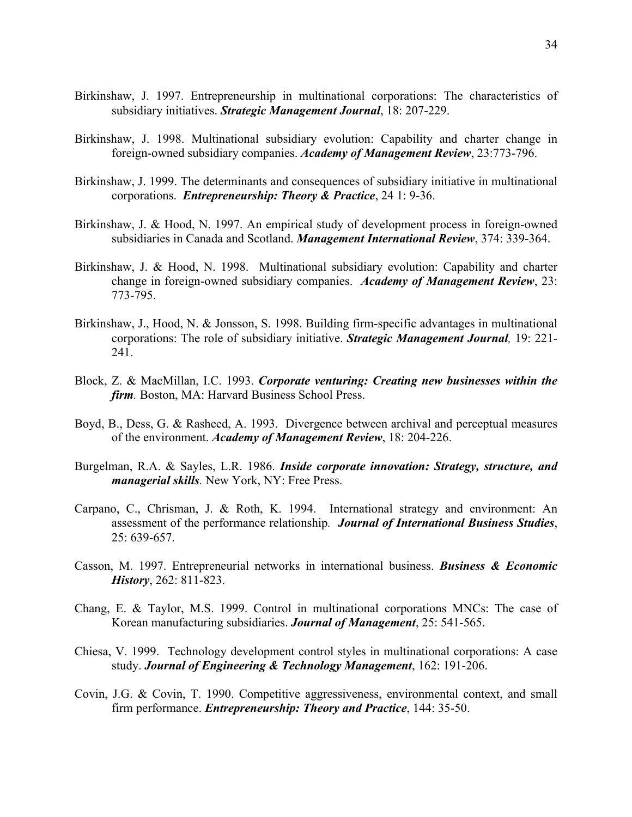- Birkinshaw, J. 1997. Entrepreneurship in multinational corporations: The characteristics of subsidiary initiatives. *Strategic Management Journal*, 18: 207-229.
- Birkinshaw, J. 1998. Multinational subsidiary evolution: Capability and charter change in foreign-owned subsidiary companies. *Academy of Management Review*, 23:773-796.
- Birkinshaw, J. 1999. The determinants and consequences of subsidiary initiative in multinational corporations. *Entrepreneurship: Theory & Practice*, 24 1: 9-36.
- Birkinshaw, J. & Hood, N. 1997. An empirical study of development process in foreign-owned subsidiaries in Canada and Scotland. *Management International Review*, 374: 339-364.
- Birkinshaw, J. & Hood, N. 1998. Multinational subsidiary evolution: Capability and charter change in foreign-owned subsidiary companies. *Academy of Management Review*, 23: 773-795.
- Birkinshaw, J., Hood, N. & Jonsson, S. 1998. Building firm-specific advantages in multinational corporations: The role of subsidiary initiative. *Strategic Management Journal,* 19: 221- 241.
- Block, Z. & MacMillan, I.C. 1993. *Corporate venturing: Creating new businesses within the firm.* Boston, MA: Harvard Business School Press.
- Boyd, B., Dess, G. & Rasheed, A. 1993. Divergence between archival and perceptual measures of the environment. *Academy of Management Review*, 18: 204-226.
- Burgelman, R.A. & Sayles, L.R. 1986. *Inside corporate innovation: Strategy, structure, and managerial skills.* New York, NY: Free Press.
- Carpano, C., Chrisman, J. & Roth, K. 1994. International strategy and environment: An assessment of the performance relationship*. Journal of International Business Studies*, 25: 639-657.
- Casson, M. 1997. Entrepreneurial networks in international business. *Business & Economic History*, 262: 811-823.
- Chang, E. & Taylor, M.S. 1999. Control in multinational corporations MNCs: The case of Korean manufacturing subsidiaries. *Journal of Management*, 25: 541-565.
- Chiesa, V. 1999. Technology development control styles in multinational corporations: A case study. *Journal of Engineering & Technology Management*, 162: 191-206.
- Covin, J.G. & Covin, T. 1990. Competitive aggressiveness, environmental context, and small firm performance. *Entrepreneurship: Theory and Practice*, 144: 35-50.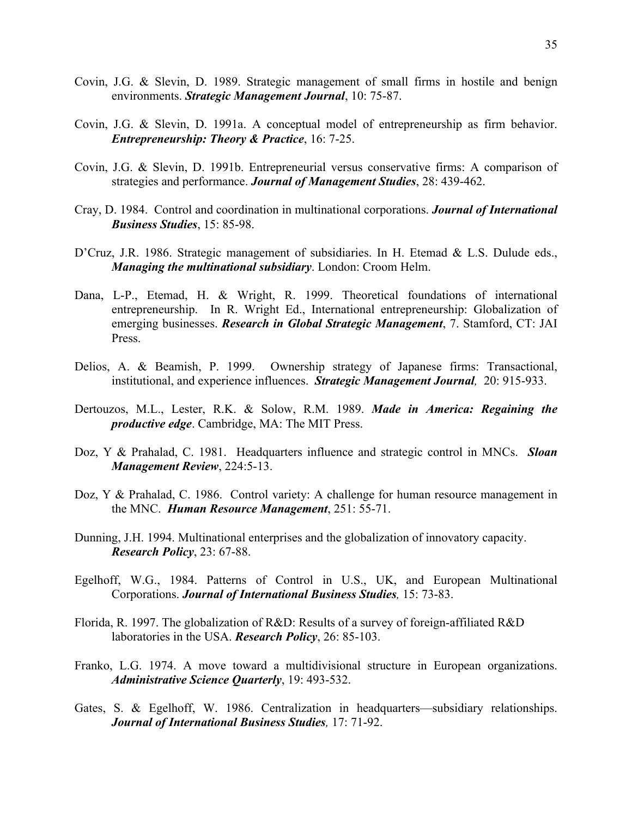- Covin, J.G. & Slevin, D. 1989. Strategic management of small firms in hostile and benign environments. *Strategic Management Journal*, 10: 75-87.
- Covin, J.G. & Slevin, D. 1991a. A conceptual model of entrepreneurship as firm behavior. *Entrepreneurship: Theory & Practice*, 16: 7-25.
- Covin, J.G. & Slevin, D. 1991b. Entrepreneurial versus conservative firms: A comparison of strategies and performance. *Journal of Management Studies*, 28: 439-462.
- Cray, D. 1984. Control and coordination in multinational corporations. *Journal of International Business Studies*, 15: 85-98.
- D'Cruz, J.R. 1986. Strategic management of subsidiaries. In H. Etemad & L.S. Dulude eds., *Managing the multinational subsidiary*. London: Croom Helm.
- Dana, L-P., Etemad, H. & Wright, R. 1999. Theoretical foundations of international entrepreneurship. In R. Wright Ed., International entrepreneurship: Globalization of emerging businesses. *Research in Global Strategic Management*, 7. Stamford, CT: JAI Press.
- Delios, A. & Beamish, P. 1999. Ownership strategy of Japanese firms: Transactional, institutional, and experience influences. *Strategic Management Journal,* 20: 915-933.
- Dertouzos, M.L., Lester, R.K. & Solow, R.M. 1989. *Made in America: Regaining the productive edge*. Cambridge, MA: The MIT Press.
- Doz, Y & Prahalad, C. 1981. Headquarters influence and strategic control in MNCs. *Sloan Management Review*, 224:5-13.
- Doz, Y & Prahalad, C. 1986. Control variety: A challenge for human resource management in the MNC. *Human Resource Management*, 251: 55-71.
- Dunning, J.H. 1994. Multinational enterprises and the globalization of innovatory capacity. *Research Policy*, 23: 67-88.
- Egelhoff, W.G., 1984. Patterns of Control in U.S., UK, and European Multinational Corporations. *Journal of International Business Studies,* 15: 73-83.
- Florida, R. 1997. The globalization of R&D: Results of a survey of foreign-affiliated R&D laboratories in the USA. *Research Policy*, 26: 85-103.
- Franko, L.G. 1974. A move toward a multidivisional structure in European organizations. *Administrative Science Quarterly*, 19: 493-532.
- Gates, S. & Egelhoff, W. 1986. Centralization in headquarters—subsidiary relationships. *Journal of International Business Studies,* 17: 71-92.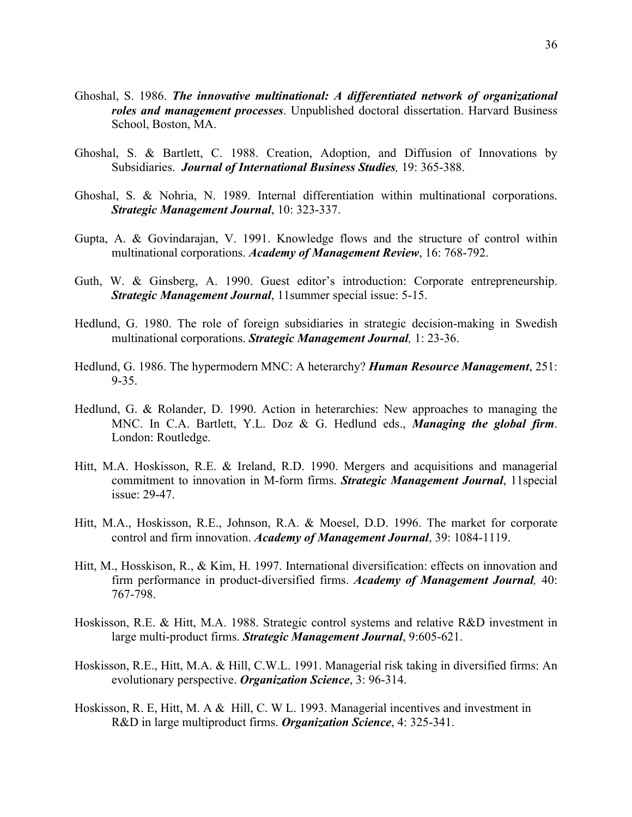- Ghoshal, S. 1986. *The innovative multinational: A differentiated network of organizational roles and management processes*. Unpublished doctoral dissertation. Harvard Business School, Boston, MA.
- Ghoshal, S. & Bartlett, C. 1988. Creation, Adoption, and Diffusion of Innovations by Subsidiaries. *Journal of International Business Studies,* 19: 365-388.
- Ghoshal, S. & Nohria, N. 1989. Internal differentiation within multinational corporations. *Strategic Management Journal*, 10: 323-337.
- Gupta, A. & Govindarajan, V. 1991. Knowledge flows and the structure of control within multinational corporations. *Academy of Management Review*, 16: 768-792.
- Guth, W. & Ginsberg, A. 1990. Guest editor's introduction: Corporate entrepreneurship. *Strategic Management Journal*, 11summer special issue: 5-15.
- Hedlund, G. 1980. The role of foreign subsidiaries in strategic decision-making in Swedish multinational corporations. *Strategic Management Journal,* 1: 23-36.
- Hedlund, G. 1986. The hypermodern MNC: A heterarchy? *Human Resource Management*, 251: 9-35.
- Hedlund, G. & Rolander, D. 1990. Action in heterarchies: New approaches to managing the MNC. In C.A. Bartlett, Y.L. Doz & G. Hedlund eds., *Managing the global firm*. London: Routledge.
- Hitt, M.A. Hoskisson, R.E. & Ireland, R.D. 1990. Mergers and acquisitions and managerial commitment to innovation in M-form firms. *Strategic Management Journal*, 11special issue: 29-47.
- Hitt, M.A., Hoskisson, R.E., Johnson, R.A. & Moesel, D.D. 1996. The market for corporate control and firm innovation. *Academy of Management Journal*, 39: 1084-1119.
- Hitt, M., Hosskison, R., & Kim, H. 1997. International diversification: effects on innovation and firm performance in product-diversified firms. *Academy of Management Journal,* 40: 767-798.
- Hoskisson, R.E. & Hitt, M.A. 1988. Strategic control systems and relative R&D investment in large multi-product firms. *Strategic Management Journal*, 9:605-621.
- Hoskisson, R.E., Hitt, M.A. & Hill, C.W.L. 1991. Managerial risk taking in diversified firms: An evolutionary perspective. *Organization Science*, 3: 96-314.
- Hoskisson, R. E, Hitt, M. A & Hill, C. W L. 1993. Managerial incentives and investment in R&D in large multiproduct firms. *Organization Science*, 4: 325-341.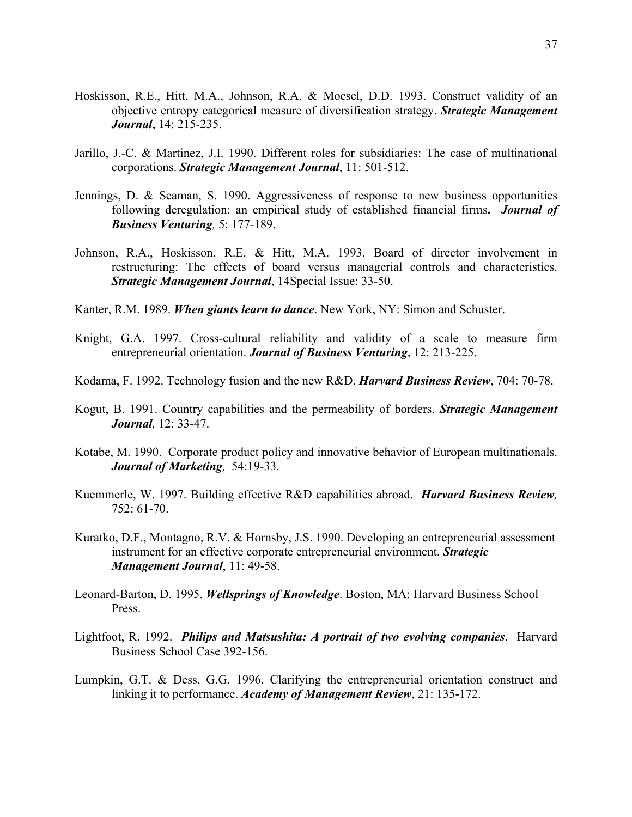- Hoskisson, R.E., Hitt, M.A., Johnson, R.A. & Moesel, D.D. 1993. Construct validity of an objective entropy categorical measure of diversification strategy. *Strategic Management Journal*, 14: 215-235.
- Jarillo, J.-C. & Martinez, J.I. 1990. Different roles for subsidiaries: The case of multinational corporations. *Strategic Management Journal*, 11: 501-512.
- Jennings, D. & Seaman, S. 1990. Aggressiveness of response to new business opportunities following deregulation: an empirical study of established financial firms**.** *Journal of Business Venturing,* 5: 177-189.
- Johnson, R.A., Hoskisson, R.E. & Hitt, M.A. 1993. Board of director involvement in restructuring: The effects of board versus managerial controls and characteristics. *Strategic Management Journal*, 14Special Issue: 33-50.
- Kanter, R.M. 1989. *When giants learn to dance*. New York, NY: Simon and Schuster.
- Knight, G.A. 1997. Cross-cultural reliability and validity of a scale to measure firm entrepreneurial orientation. *Journal of Business Venturing*, 12: 213-225.
- Kodama, F. 1992. Technology fusion and the new R&D. *Harvard Business Review*, 704: 70-78.
- Kogut, B. 1991. Country capabilities and the permeability of borders. *Strategic Management Journal,* 12: 33-47.
- Kotabe, M. 1990. Corporate product policy and innovative behavior of European multinationals. *Journal of Marketing,* 54:19-33.
- Kuemmerle, W. 1997. Building effective R&D capabilities abroad. *Harvard Business Review,* 752: 61-70.
- Kuratko, D.F., Montagno, R.V. & Hornsby, J.S. 1990. Developing an entrepreneurial assessment instrument for an effective corporate entrepreneurial environment. *Strategic Management Journal*, 11: 49-58.
- Leonard-Barton, D. 1995. *Wellsprings of Knowledge*. Boston, MA: Harvard Business School Press.
- Lightfoot, R. 1992. *Philips and Matsushita: A portrait of two evolving companies*. Harvard Business School Case 392-156.
- Lumpkin, G.T. & Dess, G.G. 1996. Clarifying the entrepreneurial orientation construct and linking it to performance. *Academy of Management Review*, 21: 135-172.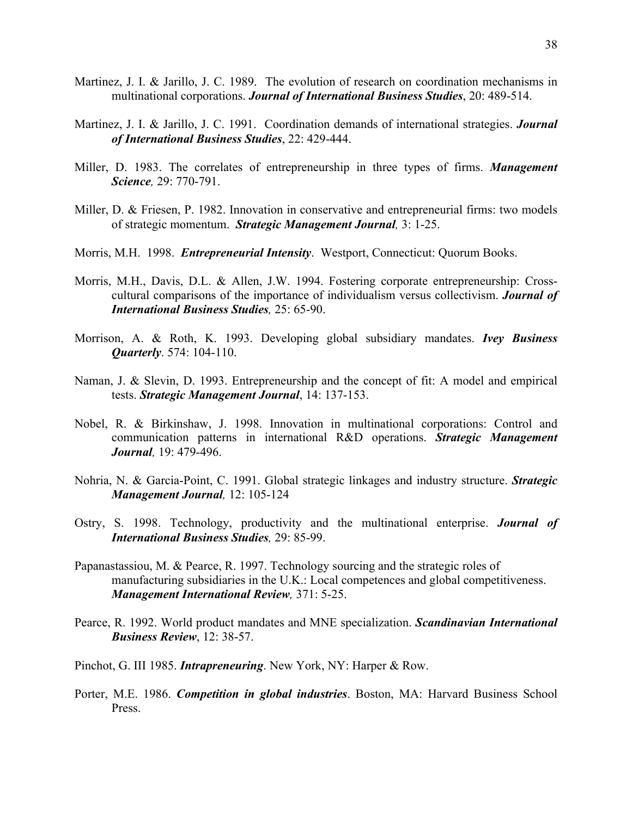- Martinez, J. I. & Jarillo, J. C. 1989. The evolution of research on coordination mechanisms in multinational corporations. *Journal of International Business Studies*, 20: 489-514.
- Martinez, J. I. & Jarillo, J. C. 1991. Coordination demands of international strategies. *Journal of International Business Studies*, 22: 429-444.
- Miller, D. 1983. The correlates of entrepreneurship in three types of firms. *Management Science,* 29: 770-791.
- Miller, D. & Friesen, P. 1982. Innovation in conservative and entrepreneurial firms: two models of strategic momentum. *Strategic Management Journal,* 3: 1-25.
- Morris, M.H. 1998. *Entrepreneurial Intensity*. Westport, Connecticut: Quorum Books.
- Morris, M.H., Davis, D.L. & Allen, J.W. 1994. Fostering corporate entrepreneurship: Crosscultural comparisons of the importance of individualism versus collectivism. *Journal of International Business Studies,* 25: 65-90.
- Morrison, A. & Roth, K. 1993. Developing global subsidiary mandates. *Ivey Business Quarterly*. 574: 104-110.
- Naman, J. & Slevin, D. 1993. Entrepreneurship and the concept of fit: A model and empirical tests. *Strategic Management Journal*, 14: 137-153.
- Nobel, R. & Birkinshaw, J. 1998. Innovation in multinational corporations: Control and communication patterns in international R&D operations. *Strategic Management Journal,* 19: 479-496.
- Nohria, N. & Garcia-Point, C. 1991. Global strategic linkages and industry structure. *Strategic Management Journal,* 12: 105-124
- Ostry, S. 1998. Technology, productivity and the multinational enterprise. *Journal of International Business Studies,* 29: 85-99.
- Papanastassiou, M. & Pearce, R. 1997. Technology sourcing and the strategic roles of manufacturing subsidiaries in the U.K.: Local competences and global competitiveness. *Management International Review,* 371: 5-25.
- Pearce, R. 1992. World product mandates and MNE specialization. *Scandinavian International Business Review*, 12: 38-57.
- Pinchot, G. III 1985. *Intrapreneuring*. New York, NY: Harper & Row.
- Porter, M.E. 1986. *Competition in global industries*. Boston, MA: Harvard Business School Press.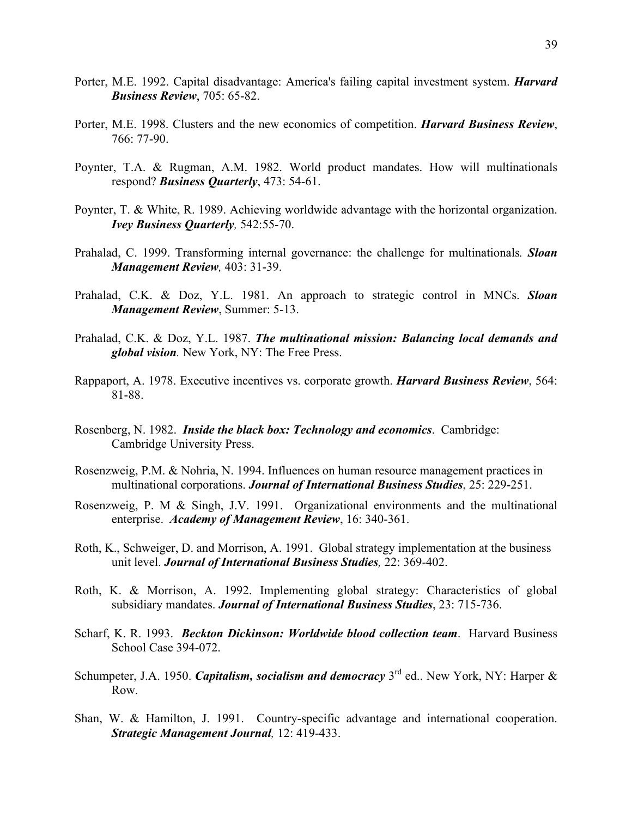- Porter, M.E. 1992. Capital disadvantage: America's failing capital investment system. *Harvard Business Review*, 705: 65-82.
- Porter, M.E. 1998. Clusters and the new economics of competition. *Harvard Business Review*, 766: 77-90.
- Poynter, T.A. & Rugman, A.M. 1982. World product mandates. How will multinationals respond? *Business Quarterly*, 473: 54-61.
- Poynter, T. & White, R. 1989. Achieving worldwide advantage with the horizontal organization. *Ivey Business Quarterly,* 542:55-70.
- Prahalad, C. 1999. Transforming internal governance: the challenge for multinationals*. Sloan Management Review,* 403: 31-39.
- Prahalad, C.K. & Doz, Y.L. 1981. An approach to strategic control in MNCs. *Sloan Management Review*, Summer: 5-13.
- Prahalad, C.K. & Doz, Y.L. 1987. *The multinational mission: Balancing local demands and global vision.* New York, NY: The Free Press.
- Rappaport, A. 1978. Executive incentives vs. corporate growth. *Harvard Business Review*, 564: 81-88.
- Rosenberg, N. 1982. *Inside the black box: Technology and economics*. Cambridge: Cambridge University Press.
- Rosenzweig, P.M. & Nohria, N. 1994. Influences on human resource management practices in multinational corporations. *Journal of International Business Studies*, 25: 229-251.
- Rosenzweig, P. M & Singh, J.V. 1991. Organizational environments and the multinational enterprise. *Academy of Management Review*, 16: 340-361.
- Roth, K., Schweiger, D. and Morrison, A. 1991. Global strategy implementation at the business unit level. *Journal of International Business Studies,* 22: 369-402.
- Roth, K. & Morrison, A. 1992. Implementing global strategy: Characteristics of global subsidiary mandates. *Journal of International Business Studies*, 23: 715-736.
- Scharf, K. R. 1993. *Beckton Dickinson: Worldwide blood collection team*. Harvard Business School Case 394-072.
- Schumpeter, J.A. 1950. *Capitalism, socialism and democracy* 3<sup>rd</sup> ed.. New York, NY: Harper & Row.
- Shan, W. & Hamilton, J. 1991. Country-specific advantage and international cooperation. *Strategic Management Journal,* 12: 419-433.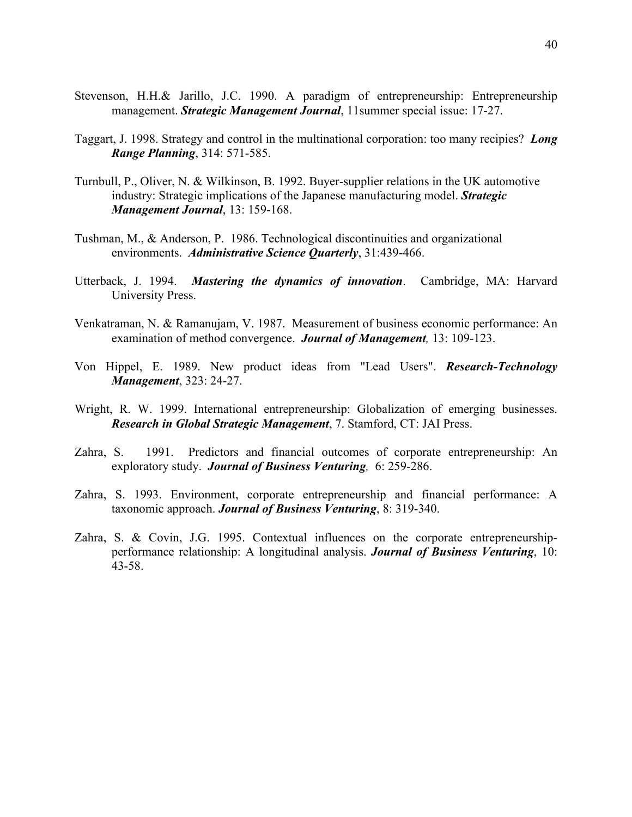- Taggart, J. 1998. Strategy and control in the multinational corporation: too many recipies? *Long Range Planning*, 314: 571-585.
- Turnbull, P., Oliver, N. & Wilkinson, B. 1992. Buyer-supplier relations in the UK automotive industry: Strategic implications of the Japanese manufacturing model. *Strategic Management Journal*, 13: 159-168.
- Tushman, M., & Anderson, P. 1986. Technological discontinuities and organizational environments. *Administrative Science Quarterly*, 31:439-466.
- Utterback, J. 1994. *Mastering the dynamics of innovation*. Cambridge, MA: Harvard University Press.
- Venkatraman, N. & Ramanujam, V. 1987. Measurement of business economic performance: An examination of method convergence. *Journal of Management,* 13: 109-123.
- Von Hippel, E. 1989. New product ideas from "Lead Users". *Research-Technology Management*, 323: 24-27.
- Wright, R. W. 1999. International entrepreneurship: Globalization of emerging businesses. *Research in Global Strategic Management*, 7. Stamford, CT: JAI Press.
- Zahra, S. 1991. Predictors and financial outcomes of corporate entrepreneurship: An exploratory study. *Journal of Business Venturing,* 6: 259-286.
- Zahra, S. 1993. Environment, corporate entrepreneurship and financial performance: A taxonomic approach. *Journal of Business Venturing*, 8: 319-340.
- Zahra, S. & Covin, J.G. 1995. Contextual influences on the corporate entrepreneurshipperformance relationship: A longitudinal analysis. *Journal of Business Venturing*, 10: 43-58.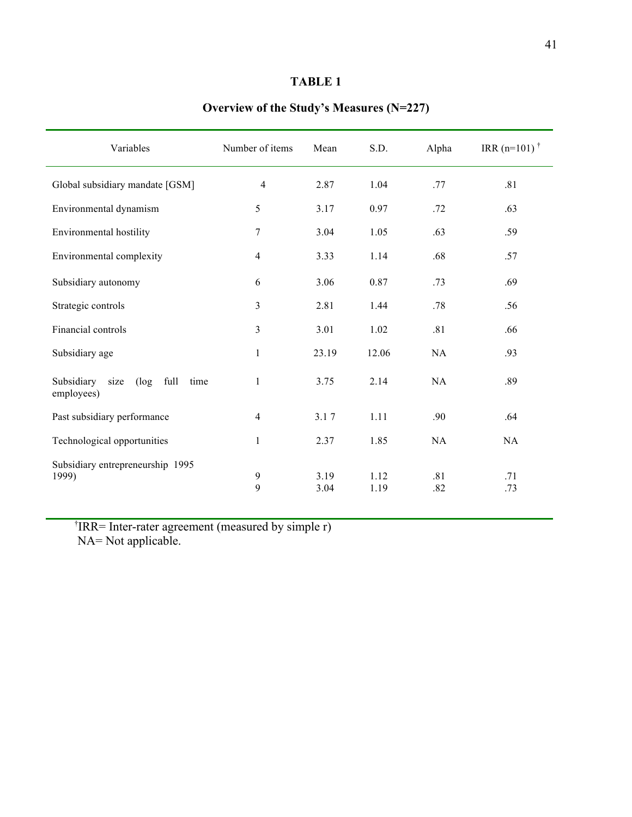# **TABLE 1**

| Overview of the Study's Measures $(N=227)$ |  |
|--------------------------------------------|--|
|                                            |  |

| Variables                                                   | Number of items   | Mean         | S.D.         | Alpha      | IRR $(n=101)^{\dagger}$ |
|-------------------------------------------------------------|-------------------|--------------|--------------|------------|-------------------------|
| Global subsidiary mandate [GSM]                             | $\overline{4}$    | 2.87         | 1.04         | .77        | .81                     |
| Environmental dynamism                                      | 5                 | 3.17         | 0.97         | .72        | .63                     |
| Environmental hostility                                     | $\boldsymbol{7}$  | 3.04         | 1.05         | .63        | .59                     |
| Environmental complexity                                    | $\overline{4}$    | 3.33         | 1.14         | .68        | .57                     |
| Subsidiary autonomy                                         | 6                 | 3.06         | 0.87         | .73        | .69                     |
| Strategic controls                                          | 3                 | 2.81         | 1.44         | .78        | .56                     |
| Financial controls                                          | 3                 | 3.01         | 1.02         | .81        | .66                     |
| Subsidiary age                                              | $\mathbf{1}$      | 23.19        | 12.06        | NA         | .93                     |
| Subsidiary<br>size<br>full<br>time<br>$(\log$<br>employees) | 1                 | 3.75         | 2.14         | <b>NA</b>  | .89                     |
| Past subsidiary performance                                 | $\overline{4}$    | 3.17         | 1.11         | .90        | .64                     |
| Technological opportunities                                 | 1                 | 2.37         | 1.85         | <b>NA</b>  | NA                      |
| Subsidiary entrepreneurship 1995<br>1999)                   | $\mathbf{9}$<br>9 | 3.19<br>3.04 | 1.12<br>1.19 | .81<br>.82 | .71<br>.73              |

† IRR= Inter-rater agreement (measured by simple r) NA= Not applicable.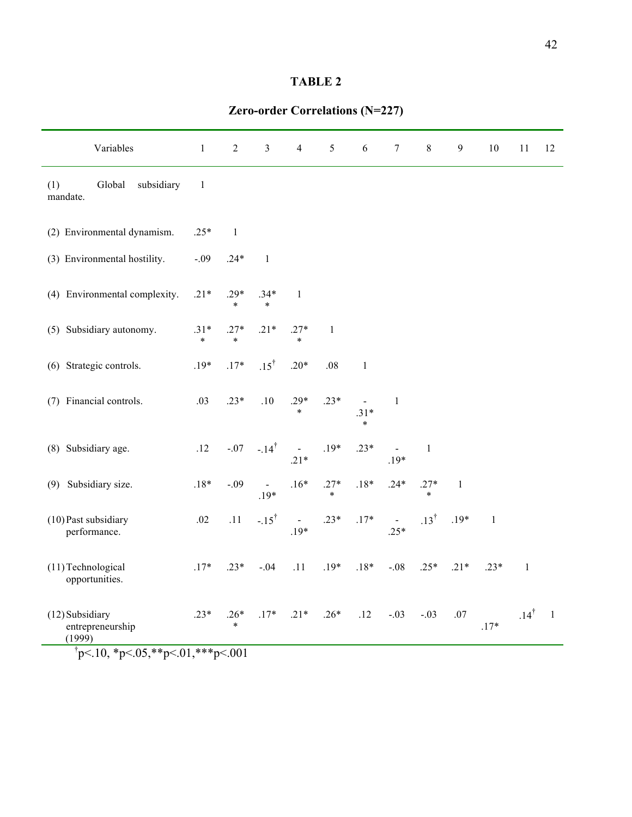# **TABLE 2**

| Variables                                                                                                                                                                                                                                                                      | $\mathbf{1}$     | $\boldsymbol{2}$ | 3                | $\overline{4}$   | 5                | 6                                  | $\boldsymbol{7}$              | $8\,$            | $\mathfrak{g}$ | $10\,$       | 11               | 12             |
|--------------------------------------------------------------------------------------------------------------------------------------------------------------------------------------------------------------------------------------------------------------------------------|------------------|------------------|------------------|------------------|------------------|------------------------------------|-------------------------------|------------------|----------------|--------------|------------------|----------------|
| (1)<br>Global<br>subsidiary<br>mandate.                                                                                                                                                                                                                                        | $\mathbf{1}$     |                  |                  |                  |                  |                                    |                               |                  |                |              |                  |                |
| (2) Environmental dynamism.                                                                                                                                                                                                                                                    | $.25*$           | $\mathbf{1}$     |                  |                  |                  |                                    |                               |                  |                |              |                  |                |
| (3) Environmental hostility.                                                                                                                                                                                                                                                   | $-.09$           | $.24*$           | $\mathbf{1}$     |                  |                  |                                    |                               |                  |                |              |                  |                |
| (4) Environmental complexity.                                                                                                                                                                                                                                                  | $.21*$           | $.29*$<br>$\ast$ | $.34*$<br>$\ast$ | $\mathbf{1}$     |                  |                                    |                               |                  |                |              |                  |                |
| (5) Subsidiary autonomy.                                                                                                                                                                                                                                                       | $.31*$<br>$\ast$ | $.27*$<br>$\ast$ | $.21*$           | $.27*$<br>$\ast$ | 1                |                                    |                               |                  |                |              |                  |                |
| (6) Strategic controls.                                                                                                                                                                                                                                                        | $.19*$           | $.17*$           | $.15^{\dagger}$  | $.20*$           | .08              | $\mathbf{1}$                       |                               |                  |                |              |                  |                |
| (7) Financial controls.                                                                                                                                                                                                                                                        | .03              | $.23*$           | .10              | $.29*$<br>$\ast$ | $.23*$           | $\blacksquare$<br>$.31*$<br>$\ast$ | 1                             |                  |                |              |                  |                |
| (8) Subsidiary age.                                                                                                                                                                                                                                                            | .12              | $-.07$           | $-.14^{\dagger}$ | $.21*$           | $.19*$           | $.23*$                             | $\hat{\phantom{a}}$<br>$.19*$ | $\mathbf{1}$     |                |              |                  |                |
| (9) Subsidiary size.                                                                                                                                                                                                                                                           | $.18*$           | $-.09$           | $.19*$           | $.16*$           | $.27*$<br>$\ast$ | $.18*$                             | $.24*$                        | $.27*$<br>$\ast$ | $\mathbf{1}$   |              |                  |                |
| (10) Past subsidiary<br>performance.                                                                                                                                                                                                                                           | .02              | .11              | $-.15^{\dagger}$ | $\Box$<br>$.19*$ | $.23*$           | $.17*$                             | $\sim$<br>$.25*$              | $.13^{\dagger}$  | $.19*$         | $\mathbf{1}$ |                  |                |
| (11) Technological<br>opportunities.                                                                                                                                                                                                                                           | $.17*$           | $.23*$           | $-.04$           | .11              | $.19*$           | $.18*$                             | $-.08$                        | $.25*$           | $.21*$         | $.23*$       | $\mathbf{1}$     |                |
| (12) Subsidiary<br>entrepreneurship<br>(1999)<br>$\uparrow$ $\downarrow$ 10 $\uparrow$ $\downarrow$ 0 $\uparrow$ 0 $\uparrow$ $\downarrow$ 0 $\downarrow$ 0 $\uparrow$ $\downarrow$ 0 $\uparrow$ $\downarrow$ $\downarrow$ 0 $\uparrow$ $\downarrow$ $\downarrow$ 0 $\uparrow$ | $.23*$           | $.26*$<br>$\ast$ | $.17*$           | $.21*$           | $.26*$           | .12                                | $-.03$                        | $-.03$           | .07            | $.17*$       | .14 $^{\dagger}$ | $\overline{1}$ |

**Zero-order Correlations (N=227)**

 $\frac{1}{2}p<.10, \frac{1}{2}p<.05, \frac{1}{2}p<.01, \frac{1}{2}p<.001$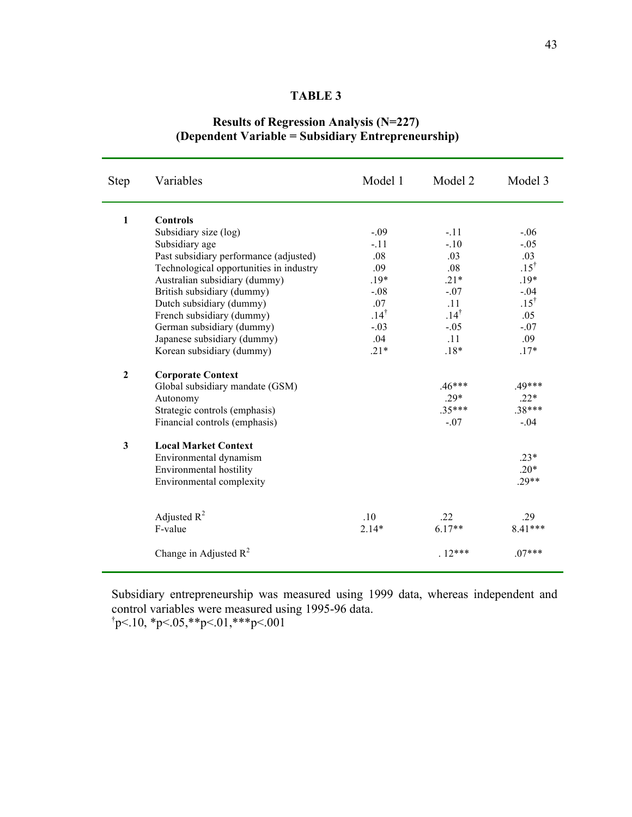### **TABLE 3**

# **Results of Regression Analysis (N=227) (Dependent Variable = Subsidiary Entrepreneurship)**

| <b>Step</b>    | Variables                               | Model 1         | Model 2         | Model 3         |
|----------------|-----------------------------------------|-----------------|-----------------|-----------------|
| $\mathbf{1}$   | <b>Controls</b>                         |                 |                 |                 |
|                | Subsidiary size (log)                   | $-.09$          | $-11$           | $-.06$          |
|                | Subsidiary age                          | $-.11$          | $-.10$          | $-.05$          |
|                | Past subsidiary performance (adjusted)  | .08             | .03             | .03             |
|                | Technological opportunities in industry | .09             | .08             | $.15^{\dagger}$ |
|                | Australian subsidiary (dummy)           | $.19*$          | $.21*$          | $.19*$          |
|                | British subsidiary (dummy)              | $-.08$          | $-.07$          | $-.04$          |
|                | Dutch subsidiary (dummy)                | .07             | .11             | $.15^{\dagger}$ |
|                | French subsidiary (dummy)               | $.14^{\dagger}$ | $.14^{\dagger}$ | .05             |
|                | German subsidiary (dummy)               | $-.03$          | $-.05$          | $-.07$          |
|                | Japanese subsidiary (dummy)             | .04             | .11             | .09             |
|                | Korean subsidiary (dummy)               | $.21*$          | $.18*$          | $.17*$          |
| $\overline{2}$ | <b>Corporate Context</b>                |                 |                 |                 |
|                | Global subsidiary mandate (GSM)         |                 | $.46***$        | $.49***$        |
|                | Autonomy                                |                 | $.29*$          | $.22*$          |
|                | Strategic controls (emphasis)           |                 | $.35***$        | $.38***$        |
|                | Financial controls (emphasis)           |                 | $-.07$          | $-.04$          |
| 3              | <b>Local Market Context</b>             |                 |                 |                 |
|                | Environmental dynamism                  |                 |                 | $.23*$          |
|                | Environmental hostility                 |                 |                 | $.20*$          |
|                | Environmental complexity                |                 |                 | $.29**$         |
|                |                                         |                 |                 |                 |
|                | Adjusted $R^2$                          | .10             | .22             | .29             |
|                | F-value                                 | $2.14*$         | $6.17**$        | 8.41***         |
|                | Change in Adjusted $R^2$                |                 | $.12***$        | $.07***$        |

 Subsidiary entrepreneurship was measured using 1999 data, whereas independent and control variables were measured using 1995-96 data.  $\text{tp} < 10, \text{ sp} < 05, \text{ sp} < 01, \text{ sp} < 001$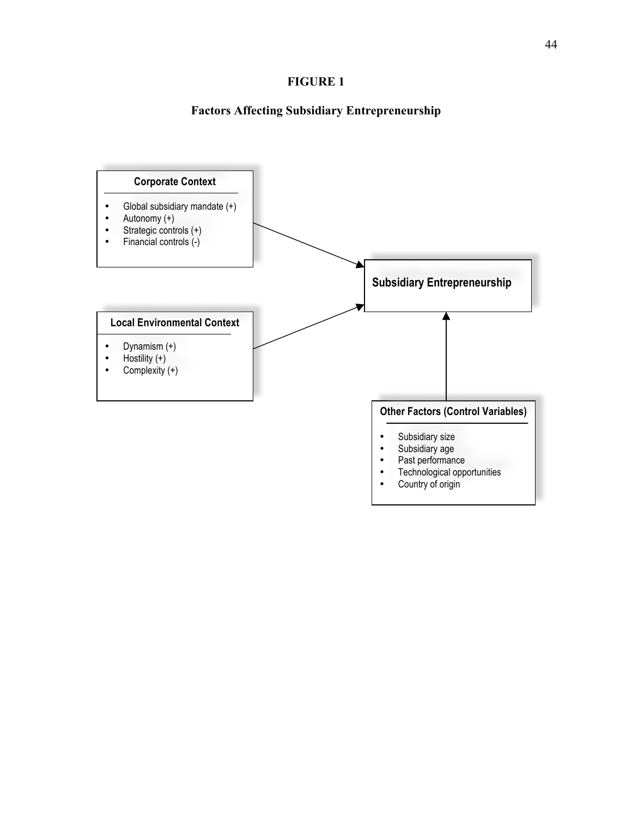# **FIGURE 1**

# **Factors Affecting Subsidiary Entrepreneurship**

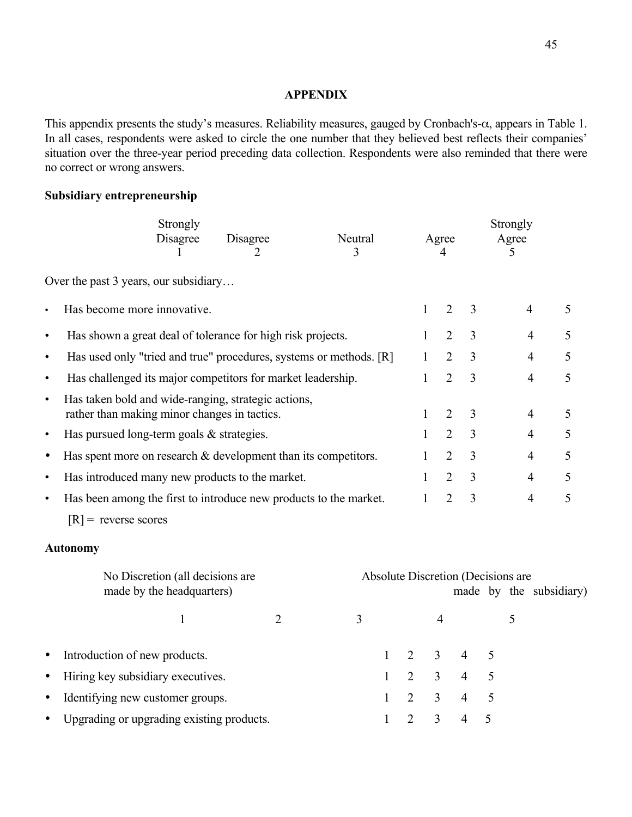### **APPENDIX**

This appendix presents the study's measures. Reliability measures, gauged by Cronbach's-α, appears in Table 1. In all cases, respondents were asked to circle the one number that they believed best reflects their companies' situation over the three-year period preceding data collection. Respondents were also reminded that there were no correct or wrong answers.

# **Subsidiary entrepreneurship**

|           |                                                                                                     | Strongly<br>Disagree                                          | Disagree       | Neutral<br>3 |              |                | Agree<br>4                     |                     |   | Strongly<br>Agree<br>$\mathcal{F}$ |                         |  |
|-----------|-----------------------------------------------------------------------------------------------------|---------------------------------------------------------------|----------------|--------------|--------------|----------------|--------------------------------|---------------------|---|------------------------------------|-------------------------|--|
|           |                                                                                                     |                                                               |                |              |              |                |                                |                     |   |                                    |                         |  |
|           | Over the past 3 years, our subsidiary                                                               |                                                               |                |              |              |                |                                |                     |   |                                    |                         |  |
| $\bullet$ | Has become more innovative.                                                                         |                                                               |                |              |              |                | $\mathbf{1}$                   | $\overline{2}$<br>3 |   | 4                                  | 5                       |  |
| $\bullet$ | Has shown a great deal of tolerance for high risk projects.                                         |                                                               |                |              |              |                | $\overline{2}$<br>1            | 3                   |   | 4                                  | 5                       |  |
| $\bullet$ | Has used only "tried and true" procedures, systems or methods. [R]                                  |                                                               |                |              |              |                | 1                              | $\overline{2}$<br>3 |   | 4                                  | 5                       |  |
| $\bullet$ | Has challenged its major competitors for market leadership.                                         |                                                               |                |              |              |                | $\mathbf{1}$                   | $\overline{2}$<br>3 |   | $\overline{4}$                     | 5                       |  |
| $\bullet$ | Has taken bold and wide-ranging, strategic actions,<br>rather than making minor changes in tactics. |                                                               |                |              |              |                | $\mathbf{1}$<br>$\overline{2}$ | 3                   |   | $\overline{4}$                     | 5                       |  |
| $\bullet$ | Has pursued long-term goals $&$ strategies.                                                         |                                                               |                |              |              |                | $\overline{2}$<br>1            | 3                   |   | 4                                  | 5                       |  |
| $\bullet$ | Has spent more on research $&$ development than its competitors.                                    |                                                               |                |              |              |                | $\overline{2}$<br>1            | 3                   |   | $\overline{4}$                     | 5                       |  |
| $\bullet$ | Has introduced many new products to the market.                                                     |                                                               |                |              |              |                | $\overline{2}$<br>1            | 3                   |   | $\overline{4}$                     | 5                       |  |
| $\bullet$ | Has been among the first to introduce new products to the market.                                   |                                                               |                |              |              |                | $\overline{2}$<br>$\mathbf{1}$ | 3                   |   | $\overline{4}$                     | 5                       |  |
|           | $[R]$ = reverse scores                                                                              |                                                               |                |              |              |                |                                |                     |   |                                    |                         |  |
|           | <b>Autonomy</b>                                                                                     |                                                               |                |              |              |                |                                |                     |   |                                    |                         |  |
|           |                                                                                                     | No Discretion (all decisions are<br>made by the headquarters) |                |              |              |                |                                |                     |   | Absolute Discretion (Decisions are | made by the subsidiary) |  |
|           |                                                                                                     | 1                                                             | $\overline{2}$ | 3            |              |                | 4                              |                     |   | 5                                  |                         |  |
| $\bullet$ | Introduction of new products.                                                                       |                                                               |                |              | 1            | $\overline{2}$ | 3                              | 4                   | 5 |                                    |                         |  |
| $\bullet$ | Hiring key subsidiary executives.                                                                   |                                                               |                |              | 1            | $\overline{2}$ | 3                              | $\overline{4}$      | 5 |                                    |                         |  |
| $\bullet$ | Identifying new customer groups.                                                                    |                                                               |                |              | 1            | $\overline{2}$ | 3                              | $\overline{4}$      | 5 |                                    |                         |  |
|           | Upgrading or upgrading existing products.                                                           |                                                               |                |              | $\mathbf{1}$ | 2              | 3                              | 4                   | 5 |                                    |                         |  |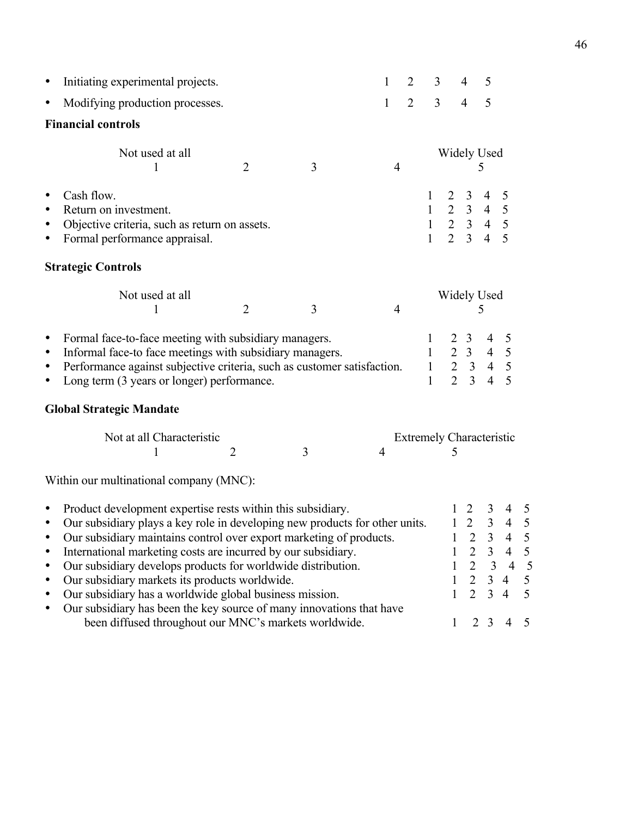| Initiating experimental projects.                                                                                                                                                                                                                                                              |                                                                                           |                                                                                          | 1                                                           | 2                                                                                                                             |                                                                                                                                                                    | $\overline{4}$                                                            | 5                                                                                                    |                                                                   |                                                                                                                                                                                                           |  |  |  |  |  |
|------------------------------------------------------------------------------------------------------------------------------------------------------------------------------------------------------------------------------------------------------------------------------------------------|-------------------------------------------------------------------------------------------|------------------------------------------------------------------------------------------|-------------------------------------------------------------|-------------------------------------------------------------------------------------------------------------------------------|--------------------------------------------------------------------------------------------------------------------------------------------------------------------|---------------------------------------------------------------------------|------------------------------------------------------------------------------------------------------|-------------------------------------------------------------------|-----------------------------------------------------------------------------------------------------------------------------------------------------------------------------------------------------------|--|--|--|--|--|
| Modifying production processes.                                                                                                                                                                                                                                                                |                                                                                           |                                                                                          | $\mathbf{1}$                                                | $\overline{2}$                                                                                                                |                                                                                                                                                                    | $\overline{4}$                                                            | 5                                                                                                    |                                                                   |                                                                                                                                                                                                           |  |  |  |  |  |
|                                                                                                                                                                                                                                                                                                |                                                                                           |                                                                                          |                                                             |                                                                                                                               |                                                                                                                                                                    |                                                                           |                                                                                                      |                                                                   |                                                                                                                                                                                                           |  |  |  |  |  |
| Not used at all                                                                                                                                                                                                                                                                                | $\overline{2}$                                                                            | 3                                                                                        | $\overline{4}$                                              |                                                                                                                               | <b>Widely Used</b><br>5                                                                                                                                            |                                                                           |                                                                                                      |                                                                   |                                                                                                                                                                                                           |  |  |  |  |  |
| Cash flow.<br>Return on investment.<br>Formal performance appraisal.                                                                                                                                                                                                                           |                                                                                           |                                                                                          |                                                             | $\mathbf{1}$                                                                                                                  | $\overline{2}$                                                                                                                                                     | $\overline{3}$                                                            | 4<br>$\overline{4}$                                                                                  | 5<br>5                                                            |                                                                                                                                                                                                           |  |  |  |  |  |
|                                                                                                                                                                                                                                                                                                |                                                                                           |                                                                                          |                                                             |                                                                                                                               |                                                                                                                                                                    |                                                                           |                                                                                                      |                                                                   |                                                                                                                                                                                                           |  |  |  |  |  |
| Not used at all<br>1                                                                                                                                                                                                                                                                           | $\overline{2}$                                                                            | 3                                                                                        | $\overline{4}$                                              |                                                                                                                               |                                                                                                                                                                    | 5                                                                         |                                                                                                      |                                                                   |                                                                                                                                                                                                           |  |  |  |  |  |
| Formal face-to-face meeting with subsidiary managers.<br>$\bullet$<br>Informal face-to face meetings with subsidiary managers.<br>$\bullet$<br>Performance against subjective criteria, such as customer satisfaction.<br>$\bullet$<br>Long term (3 years or longer) performance.<br>$\bullet$ |                                                                                           |                                                                                          |                                                             |                                                                                                                               |                                                                                                                                                                    |                                                                           |                                                                                                      | 5<br>$\frac{5}{5}$<br>5                                           |                                                                                                                                                                                                           |  |  |  |  |  |
|                                                                                                                                                                                                                                                                                                |                                                                                           |                                                                                          |                                                             |                                                                                                                               |                                                                                                                                                                    |                                                                           |                                                                                                      |                                                                   |                                                                                                                                                                                                           |  |  |  |  |  |
| Not at all Characteristic                                                                                                                                                                                                                                                                      | $\overline{2}$                                                                            | 3                                                                                        | $\overline{4}$                                              |                                                                                                                               | 5                                                                                                                                                                  |                                                                           |                                                                                                      |                                                                   |                                                                                                                                                                                                           |  |  |  |  |  |
|                                                                                                                                                                                                                                                                                                |                                                                                           |                                                                                          |                                                             |                                                                                                                               |                                                                                                                                                                    |                                                                           |                                                                                                      |                                                                   |                                                                                                                                                                                                           |  |  |  |  |  |
| Our subsidiary markets its products worldwide.                                                                                                                                                                                                                                                 |                                                                                           |                                                                                          |                                                             |                                                                                                                               | 1<br>1<br>1                                                                                                                                                        | 2<br>$\overline{2}$<br>$\overline{2}$<br>$\overline{2}$<br>$\overline{2}$ | 3<br>$\overline{3}$<br>3<br>$\overline{3}$<br>3<br>$\mathfrak{Z}$                                    | 4<br>$\overline{4}$<br>4<br>$\overline{4}$<br>$\overline{4}$<br>4 | $\frac{5}{5}$<br>5<br>$\sqrt{5}$<br>5<br>5                                                                                                                                                                |  |  |  |  |  |
|                                                                                                                                                                                                                                                                                                | <b>Financial controls</b><br><b>Strategic Controls</b><br><b>Global Strategic Mandate</b> | Objective criteria, such as return on assets.<br>Within our multinational company (MNC): | Product development expertise rests within this subsidiary. | International marketing costs are incurred by our subsidiary.<br>Our subsidiary develops products for worldwide distribution. | $\mathbf{1}$<br>Our subsidiary plays a key role in developing new products for other units.<br>Our subsidiary maintains control over export marketing of products. | 3<br>$\overline{3}$<br>$\mathbf{1}$<br>$\mathbf{1}$                       | $\overline{2}$<br>$\mathfrak{Z}$<br>$\overline{2}$<br>$\overline{3}$<br>$\mathbf{I}$<br>$\mathbf{1}$ | $2 \quad 3$<br>4<br>$\overline{4}$<br>$1\quad 2$                  | $\begin{array}{cccccc} 1 & 2 & 3 & 4 & 5 \\ 1 & 2 & 3 & 4 & 5 \end{array}$<br><b>Widely Used</b><br>$\begin{array}{cccccc} 1 & 2 & 3 & 4 \\ 1 & 2 & 3 & 4 \end{array}$<br><b>Extremely Characteristic</b> |  |  |  |  |  |